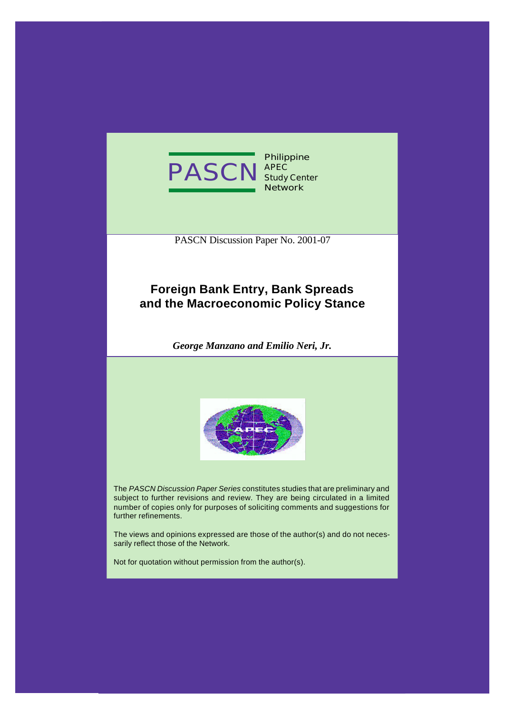

**Philippine APEC Study Center Network**

PASCN Discussion Paper No. 2001-07

## **Foreign Bank Entry, Bank Spreads and the Macroeconomic Policy Stance**

*George Manzano and Emilio Neri, Jr.*



The *PASCN Discussion Paper Series* constitutes studies that are preliminary and subject to further revisions and review. They are being circulated in a limited number of copies only for purposes of soliciting comments and suggestions for further refinements.

The views and opinions expressed are those of the author(s) and do not necessarily reflect those of the Network.

Not for quotation without permission from the author(s).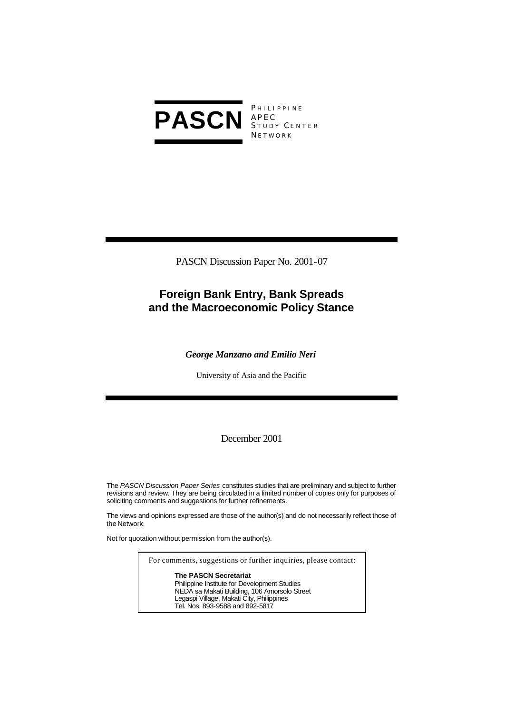

P HILIPPINE S TUDY C ENTER **NETWORK** 

PASCN Discussion Paper No. 2001-07

## **Foreign Bank Entry, Bank Spreads and the Macroeconomic Policy Stance**

*George Manzano and Emilio Neri*

University of Asia and the Pacific

December 2001

The *PASCN Discussion Paper Series* constitutes studies that are preliminary and subject to further revisions and review. They are being circulated in a limited number of copies only for purposes of soliciting comments and suggestions for further refinements.

The views and opinions expressed are those of the author(s) and do not necessarily reflect those of the Network.

Not for quotation without permission from the author(s).

For comments, suggestions or further inquiries, please contact: **The PASCN Secretariat** Philippine Institute for Development Studies NEDA sa Makati Building, 106 Amorsolo Street Legaspi Village, Makati City, Philippines Tel. Nos. 893-9588 and 892-5817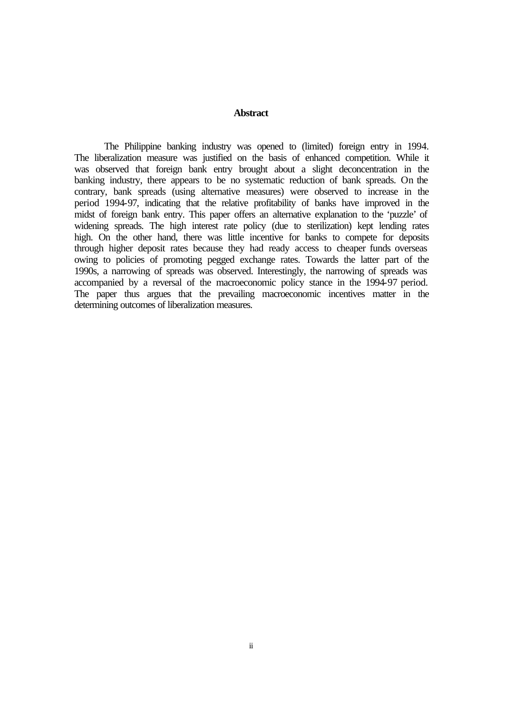### **Abstract**

The Philippine banking industry was opened to (limited) foreign entry in 1994. The liberalization measure was justified on the basis of enhanced competition. While it was observed that foreign bank entry brought about a slight deconcentration in the banking industry, there appears to be no systematic reduction of bank spreads. On the contrary, bank spreads (using alternative measures) were observed to increase in the period 1994-97, indicating that the relative profitability of banks have improved in the midst of foreign bank entry. This paper offers an alternative explanation to the 'puzzle' of widening spreads. The high interest rate policy (due to sterilization) kept lending rates high. On the other hand, there was little incentive for banks to compete for deposits through higher deposit rates because they had ready access to cheaper funds overseas owing to policies of promoting pegged exchange rates. Towards the latter part of the 1990s, a narrowing of spreads was observed. Interestingly, the narrowing of spreads was accompanied by a reversal of the macroeconomic policy stance in the 1994-97 period. The paper thus argues that the prevailing macroeconomic incentives matter in the determining outcomes of liberalization measures.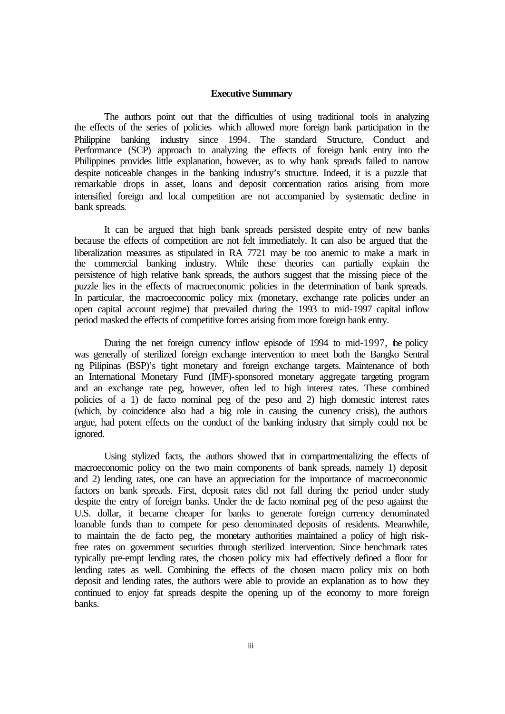### **Executive Summary**

The authors point out that the difficulties of using traditional tools in analyzing the effects of the series of policies which allowed more foreign bank participation in the Philippine banking industry since 1994. The standard Structure, Conduct and Performance (SCP) approach to analyzing the effects of foreign bank entry into the Philippines provides little explanation, however, as to why bank spreads failed to narrow despite noticeable changes in the banking industry's structure. Indeed, it is a puzzle that remarkable drops in asset, loans and deposit concentration ratios arising from more intensified foreign and local competition are not accompanied by systematic decline in bank spreads.

It can be argued that high bank spreads persisted despite entry of new banks because the effects of competition are not felt immediately. It can also be argued that the liberalization measures as stipulated in RA 7721 may be too anemic to make a mark in the commercial banking industry. While these theories can partially explain the persistence of high relative bank spreads, the authors suggest that the missing piece of the puzzle lies in the effects of macroeconomic policies in the determination of bank spreads. In particular, the macroeconomic policy mix (monetary, exchange rate policies under an open capital account regime) that prevailed during the 1993 to mid-1997 capital inflow period masked the effects of competitive forces arising from more foreign bank entry.

During the net foreign currency inflow episode of 1994 to mid-1997, the policy was generally of sterilized foreign exchange intervention to meet both the Bangko Sentral ng Pilipinas (BSP)'s tight monetary and foreign exchange targets. Maintenance of both an International Monetary Fund (IMF)-sponsored monetary aggregate targeting program and an exchange rate peg, however, often led to high interest rates. These combined policies of a 1) de facto nominal peg of the peso and 2) high domestic interest rates (which, by coincidence also had a big role in causing the currency crisis), the authors argue, had potent effects on the conduct of the banking industry that simply could not be ignored.

Using stylized facts, the authors showed that in compartmentalizing the effects of macroeconomic policy on the two main components of bank spreads, namely 1) deposit and 2) lending rates, one can have an appreciation for the importance of macroeconomic factors on bank spreads. First, deposit rates did not fall during the period under study despite the entry of foreign banks. Under the de facto nominal peg of the peso against the U.S. dollar, it became cheaper for banks to generate foreign currency denominated loanable funds than to compete for peso denominated deposits of residents. Meanwhile, to maintain the de facto peg, the monetary authorities maintained a policy of high riskfree rates on government securities through sterilized intervention. Since benchmark rates typically pre-empt lending rates, the chosen policy mix had effectively defined a floor for lending rates as well. Combining the effects of the chosen macro policy mix on both deposit and lending rates, the authors were able to provide an explanation as to how they continued to enjoy fat spreads despite the opening up of the economy to more foreign banks.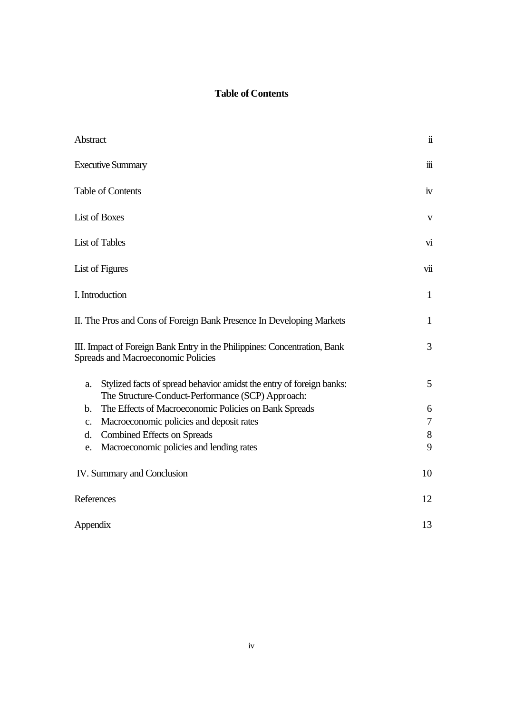## **Table of Contents**

| Abstract                                                                                                                        | $\ddot{\mathbf{u}}$     |
|---------------------------------------------------------------------------------------------------------------------------------|-------------------------|
| <b>Executive Summary</b>                                                                                                        | $\ddot{\mathbf{m}}$     |
| Table of Contents                                                                                                               | iv                      |
| List of Boxes                                                                                                                   | $\mathbf{V}$            |
| <b>List of Tables</b>                                                                                                           | $\overline{\mathbf{v}}$ |
| List of Figures                                                                                                                 | vii                     |
| I. Introduction                                                                                                                 | $\mathbf{1}$            |
| II. The Pros and Cons of Foreign Bank Presence In Developing Markets                                                            | $\mathbf{1}$            |
| III. Impact of Foreign Bank Entry in the Philippines: Concentration, Bank<br>Spreads and Macroeconomic Policies                 | 3                       |
| Stylized facts of spread behavior amidst the entry of foreign banks:<br>a.<br>The Structure-Conduct-Performance (SCP) Approach: | 5                       |
| The Effects of Macroeconomic Policies on Bank Spreads<br>$\mathbf b$ .                                                          | 6                       |
| Macroeconomic policies and deposit rates<br>$\mathbf{c}$ .                                                                      | $\tau$                  |
| <b>Combined Effects on Spreads</b><br>d.                                                                                        | 8                       |
| Macroeconomic policies and lending rates<br>e.                                                                                  | 9                       |
| IV. Summary and Conclusion                                                                                                      | 10                      |
| References                                                                                                                      | 12                      |
| Appendix                                                                                                                        | 13                      |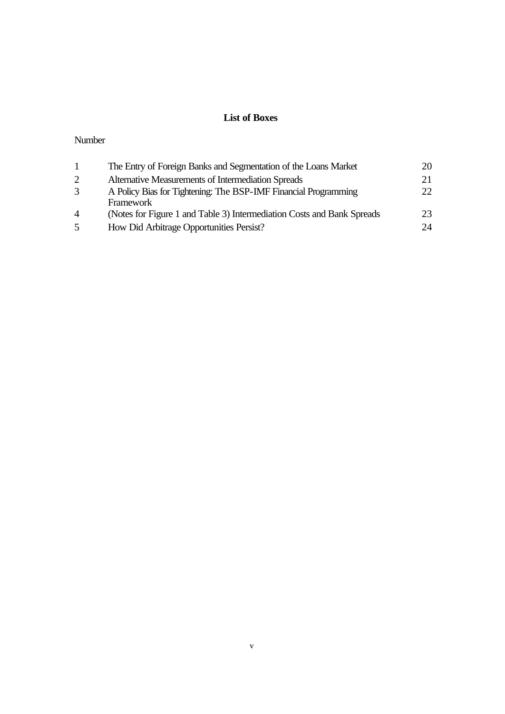## **List of Boxes**

## Number

| -1             | The Entry of Foreign Banks and Segmentation of the Loans Market        | 20           |
|----------------|------------------------------------------------------------------------|--------------|
| 2              | Alternative Measurements of Intermediation Spreads                     |              |
| 3              | A Policy Bias for Tightening: The BSP-IMF Financial Programming        | $22^{\circ}$ |
|                | Framework                                                              |              |
| $\overline{4}$ | (Notes for Figure 1 and Table 3) Intermediation Costs and Bank Spreads | 23           |
| 5              | How Did Arbitrage Opportunities Persist?                               | 24           |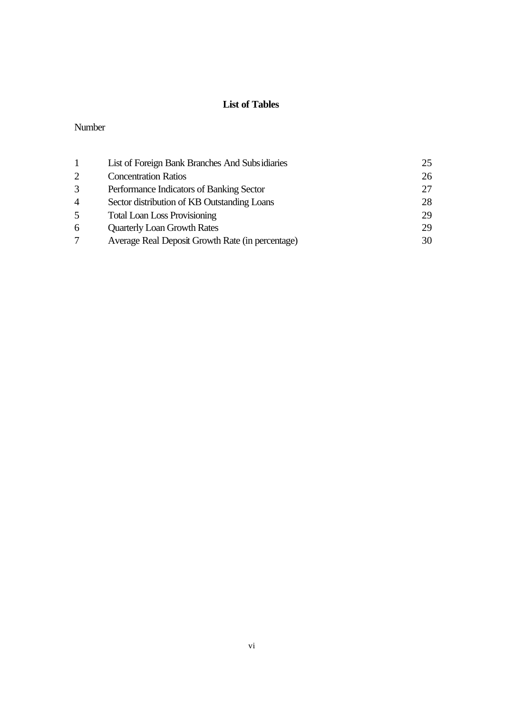## **List of Tables**

### Number

|                | List of Foreign Bank Branches And Subsidiaries   | 25 |
|----------------|--------------------------------------------------|----|
| 2              | <b>Concentration Ratios</b>                      | 26 |
| 3              | Performance Indicators of Banking Sector         | 27 |
| $\overline{4}$ | Sector distribution of KB Outstanding Loans      | 28 |
| 5              | <b>Total Loan Loss Provisioning</b>              | 29 |
| 6              | <b>Quarterly Loan Growth Rates</b>               | 29 |
|                | Average Real Deposit Growth Rate (in percentage) | 30 |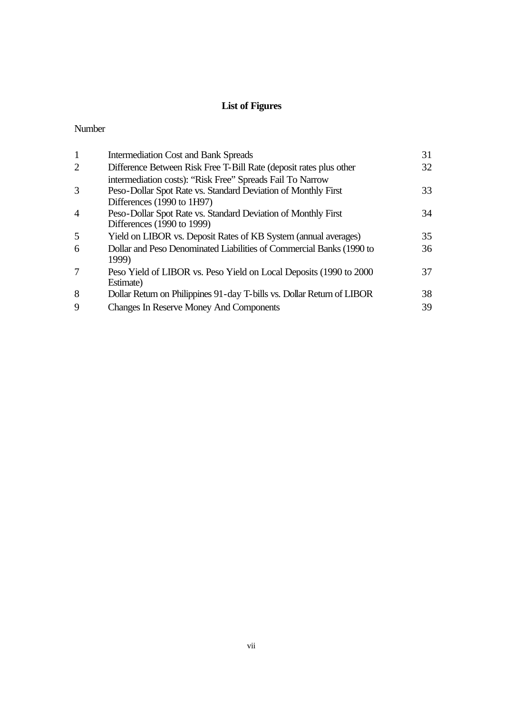## **List of Figures**

### Number

| $\mathbf{1}$   | <b>Intermediation Cost and Bank Spreads</b>                            | 31 |
|----------------|------------------------------------------------------------------------|----|
| 2              | Difference Between Risk Free T-Bill Rate (deposit rates plus other     | 32 |
|                | intermediation costs): "Risk Free" Spreads Fail To Narrow              |    |
| 3              | Peso-Dollar Spot Rate vs. Standard Deviation of Monthly First          | 33 |
|                | Differences (1990 to 1H97)                                             |    |
| $\overline{4}$ | Peso-Dollar Spot Rate vs. Standard Deviation of Monthly First          | 34 |
|                | Differences (1990 to 1999)                                             |    |
| 5              | Yield on LIBOR vs. Deposit Rates of KB System (annual averages)        | 35 |
| 6              | Dollar and Peso Denominated Liabilities of Commercial Banks (1990 to   | 36 |
|                | 1999)                                                                  |    |
| 7              | Peso Yield of LIBOR vs. Peso Yield on Local Deposits (1990 to 2000)    | 37 |
|                | Estimate)                                                              |    |
| 8              | Dollar Return on Philippines 91-day T-bills vs. Dollar Return of LIBOR | 38 |
| $\mathbf Q$    | <b>Changes In Reserve Money And Components</b>                         | 39 |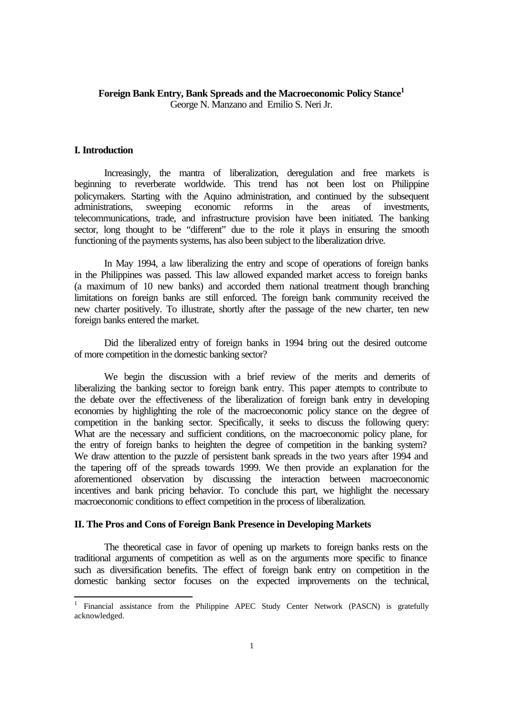## **Foreign Bank Entry, Bank Spreads and the Macroeconomic Policy Stance<sup>1</sup>**

George N. Manzano and Emilio S. Neri Jr.

### **I. Introduction**

l

Increasingly, the mantra of liberalization, deregulation and free markets is beginning to reverberate worldwide. This trend has not been lost on Philippine policymakers. Starting with the Aquino administration, and continued by the subsequent administrations, sweeping economic reforms in the areas of investments, telecommunications, trade, and infrastructure provision have been initiated. The banking sector, long thought to be "different" due to the role it plays in ensuring the smooth functioning of the payments systems, has also been subject to the liberalization drive.

In May 1994, a law liberalizing the entry and scope of operations of foreign banks in the Philippines was passed. This law allowed expanded market access to foreign banks (a maximum of 10 new banks) and accorded them national treatment though branching limitations on foreign banks are still enforced. The foreign bank community received the new charter positively. To illustrate, shortly after the passage of the new charter, ten new foreign banks entered the market.

Did the liberalized entry of foreign banks in 1994 bring out the desired outcome of more competition in the domestic banking sector?

We begin the discussion with a brief review of the merits and demerits of liberalizing the banking sector to foreign bank entry. This paper attempts to contribute to the debate over the effectiveness of the liberalization of foreign bank entry in developing economies by highlighting the role of the macroeconomic policy stance on the degree of competition in the banking sector. Specifically, it seeks to discuss the following query: What are the necessary and sufficient conditions, on the macroeconomic policy plane, for the entry of foreign banks to heighten the degree of competition in the banking system? We draw attention to the puzzle of persistent bank spreads in the two years after 1994 and the tapering off of the spreads towards 1999. We then provide an explanation for the aforementioned observation by discussing the interaction between macroeconomic incentives and bank pricing behavior. To conclude this part, we highlight the necessary macroeconomic conditions to effect competition in the process of liberalization.

## **II. The Pros and Cons of Foreign Bank Presence in Developing Markets**

The theoretical case in favor of opening up markets to foreign banks rests on the traditional arguments of competition as well as on the arguments more specific to finance such as diversification benefits. The effect of foreign bank entry on competition in the domestic banking sector focuses on the expected improvements on the technical,

<sup>&</sup>lt;sup>1</sup> Financial assistance from the Philippine APEC Study Center Network (PASCN) is gratefully acknowledged.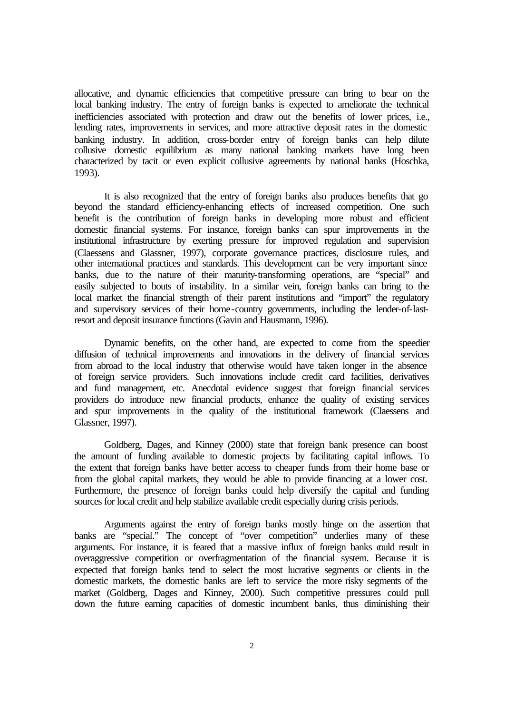allocative, and dynamic efficiencies that competitive pressure can bring to bear on the local banking industry. The entry of foreign banks is expected to ameliorate the technical inefficiencies associated with protection and draw out the benefits of lower prices, i.e., lending rates, improvements in services, and more attractive deposit rates in the domestic banking industry. In addition, cross-border entry of foreign banks can help dilute collusive domestic equilibrium as many national banking markets have long been characterized by tacit or even explicit collusive agreements by national banks (Hoschka, 1993).

It is also recognized that the entry of foreign banks also produces benefits that go beyond the standard efficiency-enhancing effects of increased competition. One such benefit is the contribution of foreign banks in developing more robust and efficient domestic financial systems. For instance, foreign banks can spur improvements in the institutional infrastructure by exerting pressure for improved regulation and supervision (Claessens and Glassner, 1997), corporate governance practices, disclosure rules, and other international practices and standards. This development can be very important since banks, due to the nature of their maturity-transforming operations, are "special" and easily subjected to bouts of instability. In a similar vein, foreign banks can bring to the local market the financial strength of their parent institutions and "import" the regulatory and supervisory services of their home-country governments, including the lender-of-lastresort and deposit insurance functions (Gavin and Hausmann, 1996).

Dynamic benefits, on the other hand, are expected to come from the speedier diffusion of technical improvements and innovations in the delivery of financial services from abroad to the local industry that otherwise would have taken longer in the absence of foreign service providers. Such innovations include credit card facilities, derivatives and fund management, etc. Anecdotal evidence suggest that foreign financial services providers do introduce new financial products, enhance the quality of existing services and spur improvements in the quality of the institutional framework (Claessens and Glassner, 1997).

Goldberg, Dages, and Kinney (2000) state that foreign bank presence can boost the amount of funding available to domestic projects by facilitating capital inflows. To the extent that foreign banks have better access to cheaper funds from their home base or from the global capital markets, they would be able to provide financing at a lower cost. Furthermore, the presence of foreign banks could help diversify the capital and funding sources for local credit and help stabilize available credit especially during crisis periods.

Arguments against the entry of foreign banks mostly hinge on the assertion that banks are "special." The concept of "over competition" underlies many of these arguments. For instance, it is feared that a massive influx of foreign banks could result in overaggressive competition or overfragmentation of the financial system. Because it is expected that foreign banks tend to select the most lucrative segments or clients in the domestic markets, the domestic banks are left to service the more risky segments of the market (Goldberg, Dages and Kinney, 2000). Such competitive pressures could pull down the future earning capacities of domestic incumbent banks, thus diminishing their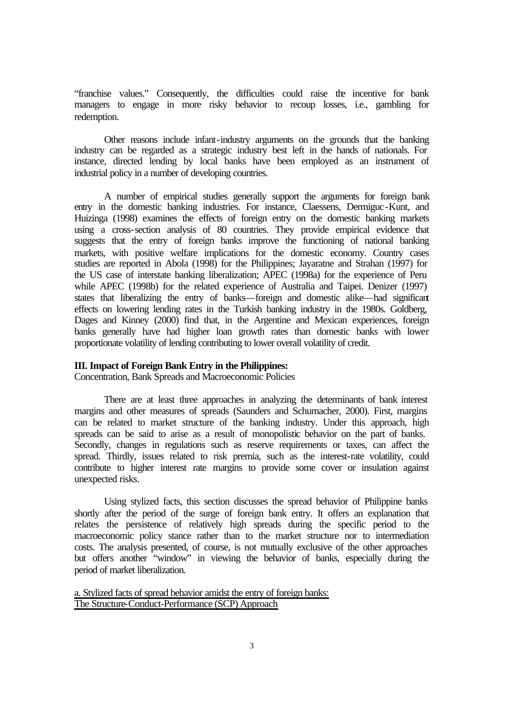"franchise values." Consequently, the difficulties could raise the incentive for bank managers to engage in more risky behavior to recoup losses, i.e., gambling for redemption.

Other reasons include infant-industry arguments on the grounds that the banking industry can be regarded as a strategic industry best left in the hands of nationals. For instance, directed lending by local banks have been employed as an instrument of industrial policy in a number of developing countries.

A number of empirical studies generally support the arguments for foreign bank entry in the domestic banking industries. For instance, Claessens, Dermiguc-Kunt, and Huizinga (1998) examines the effects of foreign entry on the domestic banking markets using a cross-section analysis of 80 countries. They provide empirical evidence that suggests that the entry of foreign banks improve the functioning of national banking markets, with positive welfare implications for the domestic economy. Country cases studies are reported in Abola (1998) for the Philippines; Jayaratne and Strahan (1997) for the US case of interstate banking liberalization; APEC (1998a) for the experience of Peru while APEC (1998b) for the related experience of Australia and Taipei. Denizer (1997) states that liberalizing the entry of banks—foreign and domestic alike—had significant effects on lowering lending rates in the Turkish banking industry in the 1980s. Goldberg, Dages and Kinney (2000) find that, in the Argentine and Mexican experiences, foreign banks generally have had higher loan growth rates than domestic banks with lower proportionate volatility of lending contributing to lower overall volatility of credit.

## **III. Impact of Foreign Bank Entry in the Philippines:**

Concentration, Bank Spreads and Macroeconomic Policies

There are at least three approaches in analyzing the determinants of bank interest margins and other measures of spreads (Saunders and Schumacher, 2000). First, margins can be related to market structure of the banking industry. Under this approach, high spreads can be said to arise as a result of monopolistic behavior on the part of banks. Secondly, changes in regulations such as reserve requirements or taxes, can affect the spread. Thirdly, issues related to risk premia, such as the interest-rate volatility, could contribute to higher interest rate margins to provide some cover or insulation against unexpected risks.

Using stylized facts, this section discusses the spread behavior of Philippine banks shortly after the period of the surge of foreign bank entry. It offers an explanation that relates the persistence of relatively high spreads during the specific period to the macroeconomic policy stance rather than to the market structure nor to intermediation costs. The analysis presented, of course, is not mutually exclusive of the other approaches but offers another "window" in viewing the behavior of banks, especially during the period of market liberalization.

a. Stylized facts of spread behavior amidst the entry of foreign banks: The Structure-Conduct-Performance (SCP) Approach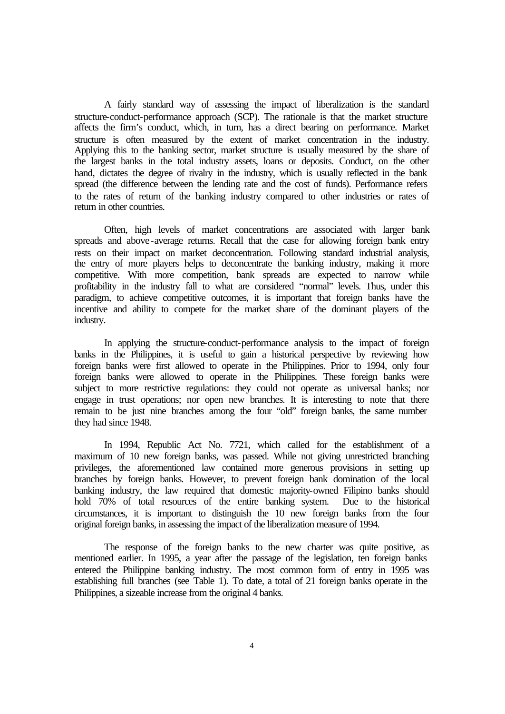A fairly standard way of assessing the impact of liberalization is the standard structure-conduct-performance approach (SCP). The rationale is that the market structure affects the firm's conduct, which, in turn, has a direct bearing on performance. Market structure is often measured by the extent of market concentration in the industry. Applying this to the banking sector, market structure is usually measured by the share of the largest banks in the total industry assets, loans or deposits. Conduct, on the other hand, dictates the degree of rivalry in the industry, which is usually reflected in the bank spread (the difference between the lending rate and the cost of funds). Performance refers to the rates of return of the banking industry compared to other industries or rates of return in other countries.

Often, high levels of market concentrations are associated with larger bank spreads and above-average returns. Recall that the case for allowing foreign bank entry rests on their impact on market deconcentration. Following standard industrial analysis, the entry of more players helps to deconcentrate the banking industry, making it more competitive. With more competition, bank spreads are expected to narrow while profitability in the industry fall to what are considered "normal" levels. Thus, under this paradigm, to achieve competitive outcomes, it is important that foreign banks have the incentive and ability to compete for the market share of the dominant players of the industry.

In applying the structure-conduct-performance analysis to the impact of foreign banks in the Philippines, it is useful to gain a historical perspective by reviewing how foreign banks were first allowed to operate in the Philippines. Prior to 1994, only four foreign banks were allowed to operate in the Philippines. These foreign banks were subject to more restrictive regulations: they could not operate as universal banks; nor engage in trust operations; nor open new branches. It is interesting to note that there remain to be just nine branches among the four "old" foreign banks, the same number they had since 1948.

In 1994, Republic Act No. 7721, which called for the establishment of a maximum of 10 new foreign banks, was passed. While not giving unrestricted branching privileges, the aforementioned law contained more generous provisions in setting up branches by foreign banks. However, to prevent foreign bank domination of the local banking industry, the law required that domestic majority-owned Filipino banks should hold 70% of total resources of the entire banking system. Due to the historical circumstances, it is important to distinguish the 10 new foreign banks from the four original foreign banks, in assessing the impact of the liberalization measure of 1994.

The response of the foreign banks to the new charter was quite positive, as mentioned earlier. In 1995, a year after the passage of the legislation, ten foreign banks entered the Philippine banking industry. The most common form of entry in 1995 was establishing full branches (see Table 1). To date, a total of 21 foreign banks operate in the Philippines, a sizeable increase from the original 4 banks.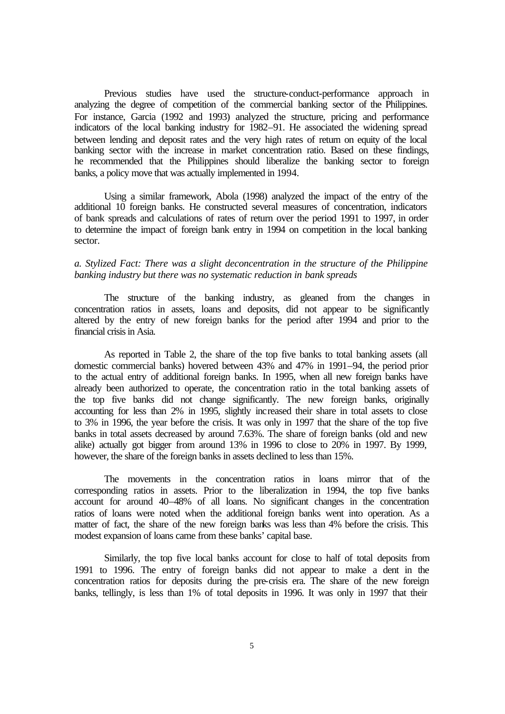Previous studies have used the structure-conduct-performance approach in analyzing the degree of competition of the commercial banking sector of the Philippines. For instance, Garcia (1992 and 1993) analyzed the structure, pricing and performance indicators of the local banking industry for 1982–91. He associated the widening spread between lending and deposit rates and the very high rates of return on equity of the local banking sector with the increase in market concentration ratio. Based on these findings, he recommended that the Philippines should liberalize the banking sector to foreign banks, a policy move that was actually implemented in 1994.

Using a similar framework, Abola (1998) analyzed the impact of the entry of the additional 10 foreign banks. He constructed several measures of concentration, indicators of bank spreads and calculations of rates of return over the period 1991 to 1997, in order to determine the impact of foreign bank entry in 1994 on competition in the local banking sector.

## *a. Stylized Fact: There was a slight deconcentration in the structure of the Philippine banking industry but there was no systematic reduction in bank spreads*

The structure of the banking industry, as gleaned from the changes in concentration ratios in assets, loans and deposits, did not appear to be significantly altered by the entry of new foreign banks for the period after 1994 and prior to the financial crisis in Asia.

As reported in Table 2, the share of the top five banks to total banking assets (all domestic commercial banks) hovered between 43% and 47% in 1991–94, the period prior to the actual entry of additional foreign banks. In 1995, when all new foreign banks have already been authorized to operate, the concentration ratio in the total banking assets of the top five banks did not change significantly. The new foreign banks, originally accounting for less than 2% in 1995, slightly increased their share in total assets to close to 3% in 1996, the year before the crisis. It was only in 1997 that the share of the top five banks in total assets decreased by around 7.63%. The share of foreign banks (old and new alike) actually got bigger from around 13% in 1996 to close to 20% in 1997. By 1999, however, the share of the foreign banks in assets declined to less than 15%.

The movements in the concentration ratios in loans mirror that of the corresponding ratios in assets. Prior to the liberalization in 1994, the top five banks account for around 40–48% of all loans. No significant changes in the concentration ratios of loans were noted when the additional foreign banks went into operation. As a matter of fact, the share of the new foreign banks was less than 4% before the crisis. This modest expansion of loans came from these banks' capital base.

Similarly, the top five local banks account for close to half of total deposits from 1991 to 1996. The entry of foreign banks did not appear to make a dent in the concentration ratios for deposits during the pre-crisis era. The share of the new foreign banks, tellingly, is less than 1% of total deposits in 1996. It was only in 1997 that their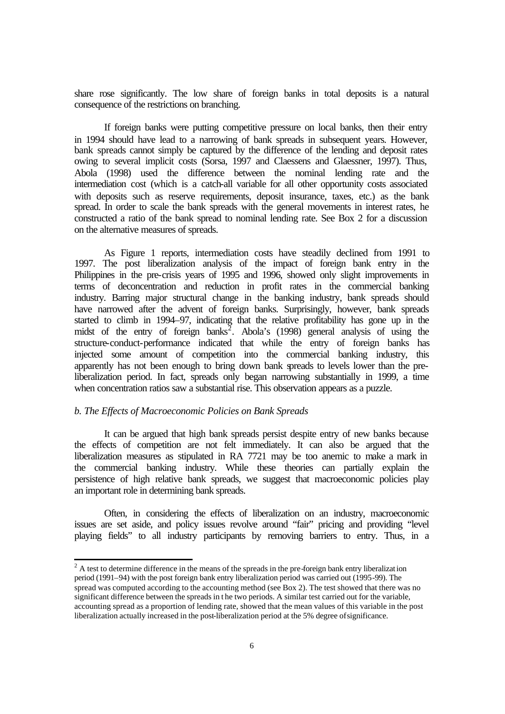share rose significantly. The low share of foreign banks in total deposits is a natural consequence of the restrictions on branching.

If foreign banks were putting competitive pressure on local banks, then their entry in 1994 should have lead to a narrowing of bank spreads in subsequent years. However, bank spreads cannot simply be captured by the difference of the lending and deposit rates owing to several implicit costs (Sorsa, 1997 and Claessens and Glaessner, 1997). Thus, Abola (1998) used the difference between the nominal lending rate and the intermediation cost (which is a catch-all variable for all other opportunity costs associated with deposits such as reserve requirements, deposit insurance, taxes, etc.) as the bank spread. In order to scale the bank spreads with the general movements in interest rates, he constructed a ratio of the bank spread to nominal lending rate. See Box 2 for a discussion on the alternative measures of spreads.

As Figure 1 reports, intermediation costs have steadily declined from 1991 to 1997. The post liberalization analysis of the impact of foreign bank entry in the Philippines in the pre-crisis years of 1995 and 1996, showed only slight improvements in terms of deconcentration and reduction in profit rates in the commercial banking industry. Barring major structural change in the banking industry, bank spreads should have narrowed after the advent of foreign banks. Surprisingly, however, bank spreads started to climb in 1994–97, indicating that the relative profitability has gone up in the midst of the entry of foreign banks<sup>2</sup>. Abola's  $(1998)$  general analysis of using the structure-conduct-performance indicated that while the entry of foreign banks has injected some amount of competition into the commercial banking industry, this apparently has not been enough to bring down bank spreads to levels lower than the preliberalization period. In fact, spreads only began narrowing substantially in 1999, a time when concentration ratios saw a substantial rise. This observation appears as a puzzle.

#### *b. The Effects of Macroeconomic Policies on Bank Spreads*

l

It can be argued that high bank spreads persist despite entry of new banks because the effects of competition are not felt immediately. It can also be argued that the liberalization measures as stipulated in RA 7721 may be too anemic to make a mark in the commercial banking industry. While these theories can partially explain the persistence of high relative bank spreads, we suggest that macroeconomic policies play an important role in determining bank spreads.

Often, in considering the effects of liberalization on an industry, macroeconomic issues are set aside, and policy issues revolve around "fair" pricing and providing "level playing fields" to all industry participants by removing barriers to entry. Thus, in a

 $2^2$  A test to determine difference in the means of the spreads in the pre-foreign bank entry liberalization period (1991–94) with the post foreign bank entry liberalization period was carried out (1995-99). The spread was computed according to the accounting method (see Box 2). The test showed that there was no significant difference between the spreads in the two periods. A similar test carried out for the variable, accounting spread as a proportion of lending rate, showed that the mean values of this variable in the post liberalization actually increased in the post-liberalization period at the 5% degree of significance.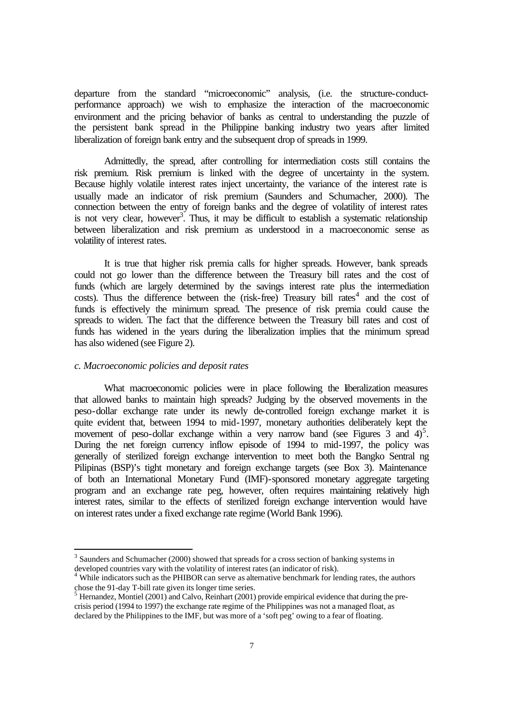departure from the standard "microeconomic" analysis, (i.e. the structure-conductperformance approach) we wish to emphasize the interaction of the macroeconomic environment and the pricing behavior of banks as central to understanding the puzzle of the persistent bank spread in the Philippine banking industry two years after limited liberalization of foreign bank entry and the subsequent drop of spreads in 1999.

Admittedly, the spread, after controlling for intermediation costs still contains the risk premium. Risk premium is linked with the degree of uncertainty in the system. Because highly volatile interest rates inject uncertainty, the variance of the interest rate is usually made an indicator of risk premium (Saunders and Schumacher, 2000). The connection between the entry of foreign banks and the degree of volatility of interest rates is not very clear, however<sup>3</sup>. Thus, it may be difficult to establish a systematic relationship between liberalization and risk premium as understood in a macroeconomic sense as volatility of interest rates.

It is true that higher risk premia calls for higher spreads. However, bank spreads could not go lower than the difference between the Treasury bill rates and the cost of funds (which are largely determined by the savings interest rate plus the intermediation  $costs$ ). Thus the difference between the (risk-free) Treasury bill rates<sup>4</sup> and the cost of funds is effectively the minimum spread. The presence of risk premia could cause the spreads to widen. The fact that the difference between the Treasury bill rates and cost of funds has widened in the years during the liberalization implies that the minimum spread has also widened (see Figure 2).

### *c. Macroeconomic policies and deposit rates*

l

What macroeconomic policies were in place following the liberalization measures that allowed banks to maintain high spreads? Judging by the observed movements in the peso-dollar exchange rate under its newly de-controlled foreign exchange market it is quite evident that, between 1994 to mid-1997, monetary authorities deliberately kept the movement of peso-dollar exchange within a very narrow band (see Figures  $\overline{3}$  and  $\overline{4}$ )<sup>5</sup>. During the net foreign currency inflow episode of 1994 to mid-1997, the policy was generally of sterilized foreign exchange intervention to meet both the Bangko Sentral ng Pilipinas (BSP)'s tight monetary and foreign exchange targets (see Box 3). Maintenance of both an International Monetary Fund (IMF)-sponsored monetary aggregate targeting program and an exchange rate peg, however, often requires maintaining relatively high interest rates, similar to the effects of sterilized foreign exchange intervention would have on interest rates under a fixed exchange rate regime (World Bank 1996).

 $3$  Saunders and Schumacher (2000) showed that spreads for a cross section of banking systems in developed countries vary with the volatility of interest rates (an indicator of risk).

<sup>&</sup>lt;sup>4</sup> While indicators such as the PHIBOR can serve as alternative benchmark for lending rates, the authors

chose the 91-day T-bill rate given its longer time series.<br><sup>5</sup> Hernandez, Montiel (2001) and Calvo, Reinhart (2001) provide empirical evidence that during the precrisis period (1994 to 1997) the exchange rate regime of the Philippines was not a managed float, as declared by the Philippines to the IMF, but was more of a 'soft peg' owing to a fear of floating.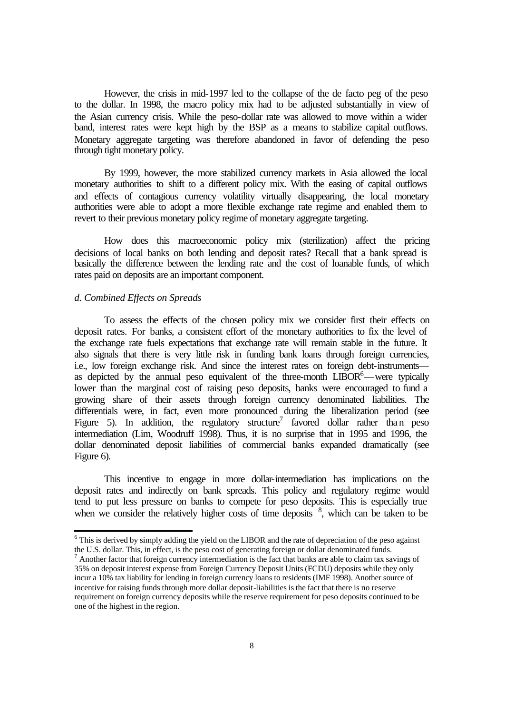However, the crisis in mid-1997 led to the collapse of the de facto peg of the peso to the dollar. In 1998, the macro policy mix had to be adjusted substantially in view of the Asian currency crisis. While the peso-dollar rate was allowed to move within a wider band, interest rates were kept high by the BSP as a means to stabilize capital outflows. Monetary aggregate targeting was therefore abandoned in favor of defending the peso through tight monetary policy.

By 1999, however, the more stabilized currency markets in Asia allowed the local monetary authorities to shift to a different policy mix. With the easing of capital outflows and effects of contagious currency volatility virtually disappearing, the local monetary authorities were able to adopt a more flexible exchange rate regime and enabled them to revert to their previous monetary policy regime of monetary aggregate targeting.

How does this macroeconomic policy mix (sterilization) affect the pricing decisions of local banks on both lending and deposit rates? Recall that a bank spread is basically the difference between the lending rate and the cost of loanable funds, of which rates paid on deposits are an important component.

### *d. Combined Effects on Spreads*

l

To assess the effects of the chosen policy mix we consider first their effects on deposit rates. For banks, a consistent effort of the monetary authorities to fix the level of the exchange rate fuels expectations that exchange rate will remain stable in the future. It also signals that there is very little risk in funding bank loans through foreign currencies, i.e., low foreign exchange risk. And since the interest rates on foreign debt-instruments as depicted by the annual peso equivalent of the three-month  $LIBOR^6$ —were typically lower than the marginal cost of raising peso deposits, banks were encouraged to fund a growing share of their assets through foreign currency denominated liabilities. The differentials were, in fact, even more pronounced during the liberalization period (see Figure 5). In addition, the regulatory structure<sup>7</sup> favored dollar rather than peso intermediation (Lim, Woodruff 1998). Thus, it is no surprise that in 1995 and 1996, the dollar denominated deposit liabilities of commercial banks expanded dramatically (see Figure 6).

This incentive to engage in more dollar-intermediation has implications on the deposit rates and indirectly on bank spreads. This policy and regulatory regime would tend to put less pressure on banks to compete for peso deposits. This is especially true when we consider the relatively higher costs of time deposits  $\frac{8}{3}$ , which can be taken to be

 $6$  This is derived by simply adding the yield on the LIBOR and the rate of depreciation of the peso against the U.S. dollar. This, in effect, is the peso cost of generating foreign or dollar denominated funds.<br><sup>7</sup> Another factor that foreign currency intermediation is the fact that banks are able to claim tax savings of

<sup>35%</sup> on deposit interest expense from Foreign Currency Deposit Units (FCDU) deposits while they only incur a 10% tax liability for lending in foreign currency loans to residents (IMF 1998). Another source of incentive for raising funds through more dollar deposit-liabilities is the fact that there is no reserve requirement on foreign currency deposits while the reserve requirement for peso deposits continued to be one of the highest in the region.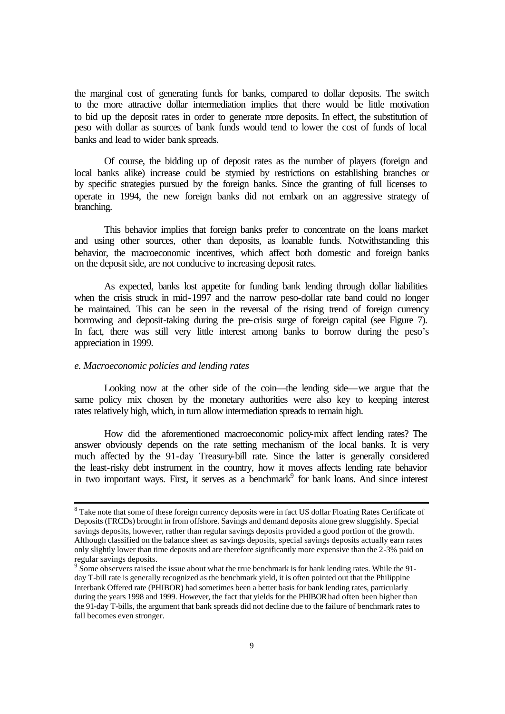the marginal cost of generating funds for banks, compared to dollar deposits. The switch to the more attractive dollar intermediation implies that there would be little motivation to bid up the deposit rates in order to generate more deposits. In effect, the substitution of peso with dollar as sources of bank funds would tend to lower the cost of funds of local banks and lead to wider bank spreads.

Of course, the bidding up of deposit rates as the number of players (foreign and local banks alike) increase could be stymied by restrictions on establishing branches or by specific strategies pursued by the foreign banks. Since the granting of full licenses to operate in 1994, the new foreign banks did not embark on an aggressive strategy of branching.

This behavior implies that foreign banks prefer to concentrate on the loans market and using other sources, other than deposits, as loanable funds. Notwithstanding this behavior, the macroeconomic incentives, which affect both domestic and foreign banks on the deposit side, are not conducive to increasing deposit rates.

As expected, banks lost appetite for funding bank lending through dollar liabilities when the crisis struck in mid-1997 and the narrow peso-dollar rate band could no longer be maintained. This can be seen in the reversal of the rising trend of foreign currency borrowing and deposit-taking during the pre-crisis surge of foreign capital (see Figure 7). In fact, there was still very little interest among banks to borrow during the peso's appreciation in 1999.

### *e. Macroeconomic policies and lending rates*

l

Looking now at the other side of the coin—the lending side—we argue that the same policy mix chosen by the monetary authorities were also key to keeping interest rates relatively high, which, in turn allow intermediation spreads to remain high.

How did the aforementioned macroeconomic policy-mix affect lending rates? The answer obviously depends on the rate setting mechanism of the local banks. It is very much affected by the 91-day Treasury-bill rate. Since the latter is generally considered the least-risky debt instrument in the country, how it moves affects lending rate behavior in two important ways. First, it serves as a benchmark<sup>9</sup> for bank loans. And since interest

<sup>&</sup>lt;sup>8</sup> Take note that some of these foreign currency deposits were in fact US dollar Floating Rates Certificate of Deposits (FRCDs) brought in from offshore. Savings and demand deposits alone grew sluggishly. Special savings deposits, however, rather than regular savings deposits provided a good portion of the growth. Although classified on the balance sheet as savings deposits, special savings deposits actually earn rates only slightly lower than time deposits and are therefore significantly more expensive than the 2-3% paid on regular savings deposits.

 $9\degree$  Some observers raised the issue about what the true benchmark is for bank lending rates. While the 91day T-bill rate is generally recognized as the benchmark yield, it is often pointed out that the Philippine Interbank Offered rate (PHIBOR) had sometimes been a better basis for bank lending rates, particularly during the years 1998 and 1999. However, the fact that yields for the PHIBOR had often been higher than the 91-day T-bills, the argument that bank spreads did not decline due to the failure of benchmark rates to fall becomes even stronger.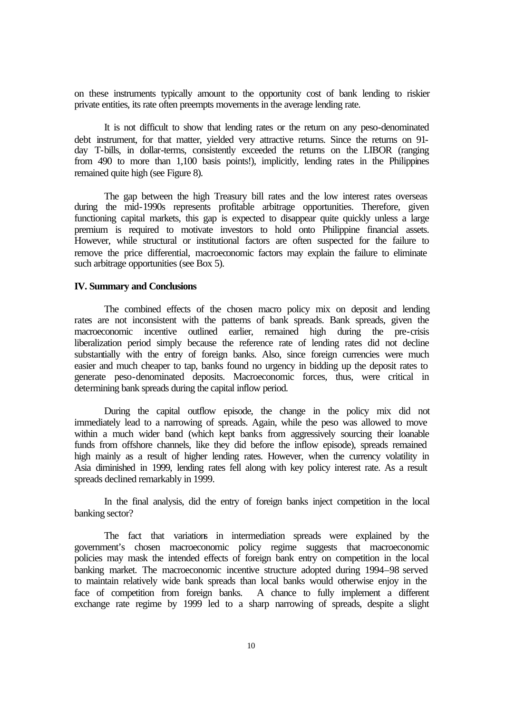on these instruments typically amount to the opportunity cost of bank lending to riskier private entities, its rate often preempts movements in the average lending rate.

It is not difficult to show that lending rates or the return on any peso-denominated debt instrument, for that matter, yielded very attractive returns. Since the returns on 91 day T-bills, in dollar-terms, consistently exceeded the returns on the LIBOR (ranging from 490 to more than 1,100 basis points!), implicitly, lending rates in the Philippines remained quite high (see Figure 8).

The gap between the high Treasury bill rates and the low interest rates overseas during the mid-1990s represents profitable arbitrage opportunities. Therefore, given functioning capital markets, this gap is expected to disappear quite quickly unless a large premium is required to motivate investors to hold onto Philippine financial assets. However, while structural or institutional factors are often suspected for the failure to remove the price differential, macroeconomic factors may explain the failure to eliminate such arbitrage opportunities (see Box 5).

### **IV. Summary and Conclusions**

The combined effects of the chosen macro policy mix on deposit and lending rates are not inconsistent with the patterns of bank spreads. Bank spreads, given the macroeconomic incentive outlined earlier, remained high during the pre-crisis liberalization period simply because the reference rate of lending rates did not decline substantially with the entry of foreign banks. Also, since foreign currencies were much easier and much cheaper to tap, banks found no urgency in bidding up the deposit rates to generate peso-denominated deposits. Macroeconomic forces, thus, were critical in determining bank spreads during the capital inflow period.

During the capital outflow episode, the change in the policy mix did not immediately lead to a narrowing of spreads. Again, while the peso was allowed to move within a much wider band (which kept banks from aggressively sourcing their loanable funds from offshore channels, like they did before the inflow episode), spreads remained high mainly as a result of higher lending rates. However, when the currency volatility in Asia diminished in 1999, lending rates fell along with key policy interest rate. As a result spreads declined remarkably in 1999.

In the final analysis, did the entry of foreign banks inject competition in the local banking sector?

The fact that variations in intermediation spreads were explained by the government's chosen macroeconomic policy regime suggests that macroeconomic policies may mask the intended effects of foreign bank entry on competition in the local banking market. The macroeconomic incentive structure adopted during 1994–98 served to maintain relatively wide bank spreads than local banks would otherwise enjoy in the face of competition from foreign banks. A chance to fully implement a different exchange rate regime by 1999 led to a sharp narrowing of spreads, despite a slight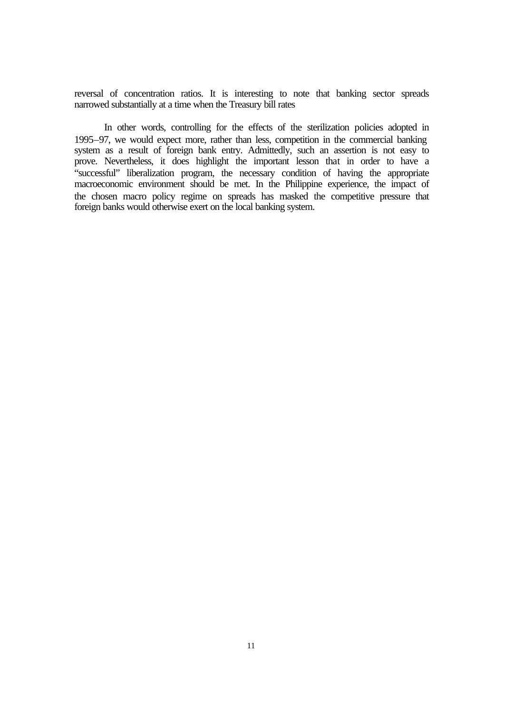reversal of concentration ratios. It is interesting to note that banking sector spreads narrowed substantially at a time when the Treasury bill rates

In other words, controlling for the effects of the sterilization policies adopted in 1995–97, we would expect more, rather than less, competition in the commercial banking system as a result of foreign bank entry. Admittedly, such an assertion is not easy to prove. Nevertheless, it does highlight the important lesson that in order to have a "successful" liberalization program, the necessary condition of having the appropriate macroeconomic environment should be met. In the Philippine experience, the impact of the chosen macro policy regime on spreads has masked the competitive pressure that foreign banks would otherwise exert on the local banking system.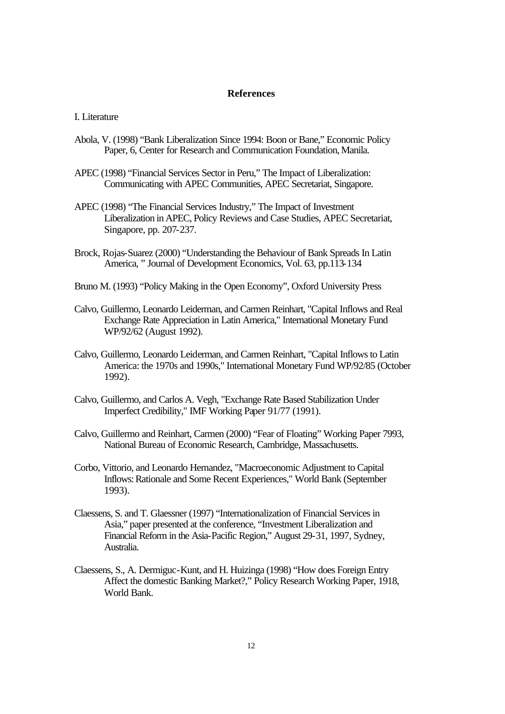### **References**

#### I. Literature

- Abola, V. (1998) "Bank Liberalization Since 1994: Boon or Bane," Economic Policy Paper, 6, Center for Research and Communication Foundation, Manila.
- APEC (1998) "Financial Services Sector in Peru," The Impact of Liberalization: Communicating with APEC Communities, APEC Secretariat, Singapore.
- APEC (1998) "The Financial Services Industry," The Impact of Investment Liberalization in APEC, Policy Reviews and Case Studies, APEC Secretariat, Singapore, pp. 207-237.
- Brock, Rojas-Suarez (2000) "Understanding the Behaviour of Bank Spreads In Latin America, " Journal of Development Economics, Vol. 63, pp.113-134
- Bruno M. (1993) "Policy Making in the Open Economy", Oxford University Press
- Calvo, Guillermo, Leonardo Leiderman, and Carmen Reinhart, "Capital Inflows and Real Exchange Rate Appreciation in Latin America," International Monetary Fund WP/92/62 (August 1992).
- Calvo, Guillermo, Leonardo Leiderman, and Carmen Reinhart, "Capital Inflows to Latin America: the 1970s and 1990s," International Monetary Fund WP/92/85 (October 1992).
- Calvo, Guillermo, and Carlos A. Vegh, "Exchange Rate Based Stabilization Under Imperfect Credibility," IMF Working Paper 91/77 (1991).
- Calvo, Guillermo and Reinhart, Carmen (2000) "Fear of Floating" Working Paper 7993, National Bureau of Economic Research, Cambridge, Massachusetts.
- Corbo, Vittorio, and Leonardo Hernandez, "Macroeconomic Adjustment to Capital Inflows: Rationale and Some Recent Experiences," World Bank (September 1993).
- Claessens, S. and T. Glaessner (1997) "Internationalization of Financial Services in Asia," paper presented at the conference, "Investment Liberalization and Financial Reform in the Asia-Pacific Region," August 29-31, 1997, Sydney, Australia.
- Claessens, S., A. Dermiguc-Kunt, and H. Huizinga (1998) "How does Foreign Entry Affect the domestic Banking Market?," Policy Research Working Paper, 1918, World Bank.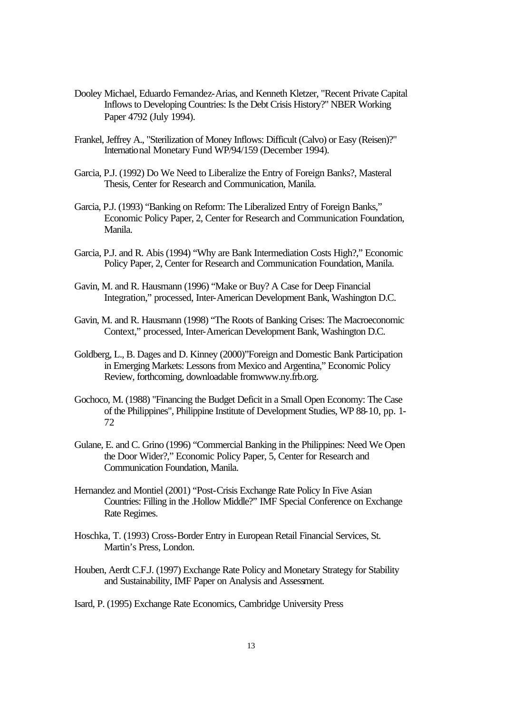- Dooley Michael, Eduardo Fernandez-Arias, and Kenneth Kletzer, "Recent Private Capital Inflows to Developing Countries: Is the Debt Crisis History?" NBER Working Paper 4792 (July 1994).
- Frankel, Jeffrey A., "Sterilization of Money Inflows: Difficult (Calvo) or Easy (Reisen)?" International Monetary Fund WP/94/159 (December 1994).
- Garcia, P.J. (1992) Do We Need to Liberalize the Entry of Foreign Banks?, Masteral Thesis, Center for Research and Communication, Manila.
- Garcia, P.J. (1993) "Banking on Reform: The Liberalized Entry of Foreign Banks," Economic Policy Paper, 2, Center for Research and Communication Foundation, Manila.
- Garcia, P.J. and R. Abis (1994) "Why are Bank Intermediation Costs High?," Economic Policy Paper, 2, Center for Research and Communication Foundation, Manila.
- Gavin, M. and R. Hausmann (1996) "Make or Buy? A Case for Deep Financial Integration," processed, Inter-American Development Bank, Washington D.C.
- Gavin, M. and R. Hausmann (1998) "The Roots of Banking Crises: The Macroeconomic Context," processed, Inter-American Development Bank, Washington D.C.
- Goldberg, L., B. Dages and D. Kinney (2000)"Foreign and Domestic Bank Participation in Emerging Markets: Lessons from Mexico and Argentina," Economic Policy Review, forthcoming, downloadable fromwww.ny.frb.org.
- Gochoco, M. (1988) "Financing the Budget Deficit in a Small Open Economy: The Case of the Philippines", Philippine Institute of Development Studies, WP 88-10, pp. 1- 72
- Gulane, E. and C. Grino (1996) "Commercial Banking in the Philippines: Need We Open the Door Wider?," Economic Policy Paper, 5, Center for Research and Communication Foundation, Manila.
- Hernandez and Montiel (2001) "Post-Crisis Exchange Rate Policy In Five Asian Countries: Filling in the .Hollow Middle?" IMF Special Conference on Exchange Rate Regimes.
- Hoschka, T. (1993) Cross-Border Entry in European Retail Financial Services, St. Martin's Press, London.
- Houben, Aerdt C.F.J. (1997) Exchange Rate Policy and Monetary Strategy for Stability and Sustainability, IMF Paper on Analysis and Assessment.
- Isard, P. (1995) Exchange Rate Economics, Cambridge University Press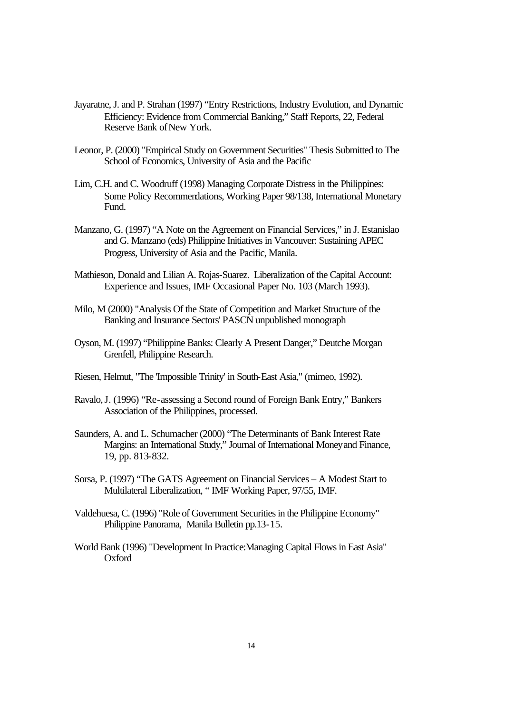- Jayaratne, J. and P. Strahan (1997) "Entry Restrictions, Industry Evolution, and Dynamic Efficiency: Evidence from Commercial Banking," Staff Reports, 22, Federal Reserve Bank of New York.
- Leonor, P. (2000) "Empirical Study on Government Securities" Thesis Submitted to The School of Economics, University of Asia and the Pacific
- Lim, C.H. and C. Woodruff (1998) Managing Corporate Distress in the Philippines: Some Policy Recommendations, Working Paper 98/138, International Monetary Fund.
- Manzano, G. (1997) "A Note on the Agreement on Financial Services," in J. Estanislao and G. Manzano (eds) Philippine Initiatives in Vancouver: Sustaining APEC Progress, University of Asia and the Pacific, Manila.
- Mathieson, Donald and Lilian A. Rojas-Suarez. Liberalization of the Capital Account: Experience and Issues, IMF Occasional Paper No. 103 (March 1993).
- Milo, M (2000) "Analysis Of the State of Competition and Market Structure of the Banking and Insurance Sectors' PASCN unpublished monograph
- Oyson, M. (1997) "Philippine Banks: Clearly A Present Danger," Deutche Morgan Grenfell, Philippine Research.
- Riesen, Helmut, "The 'Impossible Trinity' in South-East Asia," (mimeo, 1992).
- Ravalo, J. (1996) "Re-assessing a Second round of Foreign Bank Entry," Bankers Association of the Philippines, processed.
- Saunders, A. and L. Schumacher (2000) "The Determinants of Bank Interest Rate Margins: an International Study," Journal of International Money and Finance, 19, pp. 813-832.
- Sorsa, P. (1997) "The GATS Agreement on Financial Services A Modest Start to Multilateral Liberalization, " IMF Working Paper, 97/55, IMF.
- Valdehuesa, C. (1996) "Role of Government Securities in the Philippine Economy" Philippine Panorama, Manila Bulletin pp.13-15.
- World Bank (1996) "Development In Practice:Managing Capital Flows in East Asia" Oxford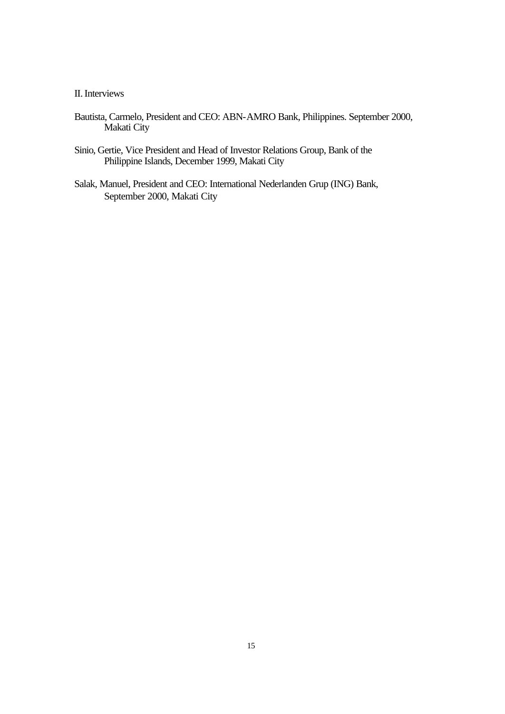## II. Interviews

- Bautista, Carmelo, President and CEO: ABN-AMRO Bank, Philippines. September 2000, Makati City
- Sinio, Gertie, Vice President and Head of Investor Relations Group, Bank of the Philippine Islands, December 1999, Makati City
- Salak, Manuel, President and CEO: International Nederlanden Grup (ING) Bank, September 2000, Makati City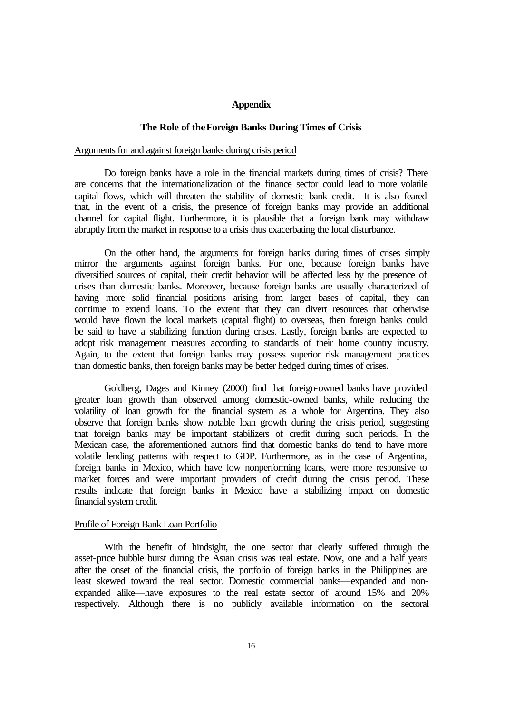#### **Appendix**

#### **The Role of the Foreign Banks During Times of Crisis**

#### Arguments for and against foreign banks during crisis period

Do foreign banks have a role in the financial markets during times of crisis? There are concerns that the internationalization of the finance sector could lead to more volatile capital flows, which will threaten the stability of domestic bank credit. It is also feared that, in the event of a crisis, the presence of foreign banks may provide an additional channel for capital flight. Furthermore, it is plausible that a foreign bank may withdraw abruptly from the market in response to a crisis thus exacerbating the local disturbance.

On the other hand, the arguments for foreign banks during times of crises simply mirror the arguments against foreign banks. For one, because foreign banks have diversified sources of capital, their credit behavior will be affected less by the presence of crises than domestic banks. Moreover, because foreign banks are usually characterized of having more solid financial positions arising from larger bases of capital, they can continue to extend loans. To the extent that they can divert resources that otherwise would have flown the local markets (capital flight) to overseas, then foreign banks could be said to have a stabilizing function during crises. Lastly, foreign banks are expected to adopt risk management measures according to standards of their home country industry. Again, to the extent that foreign banks may possess superior risk management practices than domestic banks, then foreign banks may be better hedged during times of crises.

Goldberg, Dages and Kinney (2000) find that foreign-owned banks have provided greater loan growth than observed among domestic-owned banks, while reducing the volatility of loan growth for the financial system as a whole for Argentina. They also observe that foreign banks show notable loan growth during the crisis period, suggesting that foreign banks may be important stabilizers of credit during such periods. In the Mexican case, the aforementioned authors find that domestic banks do tend to have more volatile lending patterns with respect to GDP. Furthermore, as in the case of Argentina, foreign banks in Mexico, which have low nonperforming loans, were more responsive to market forces and were important providers of credit during the crisis period. These results indicate that foreign banks in Mexico have a stabilizing impact on domestic financial system credit.

## Profile of Foreign Bank Loan Portfolio

With the benefit of hindsight, the one sector that clearly suffered through the asset-price bubble burst during the Asian crisis was real estate. Now, one and a half years after the onset of the financial crisis, the portfolio of foreign banks in the Philippines are least skewed toward the real sector. Domestic commercial banks—expanded and nonexpanded alike—have exposures to the real estate sector of around 15% and 20% respectively. Although there is no publicly available information on the sectoral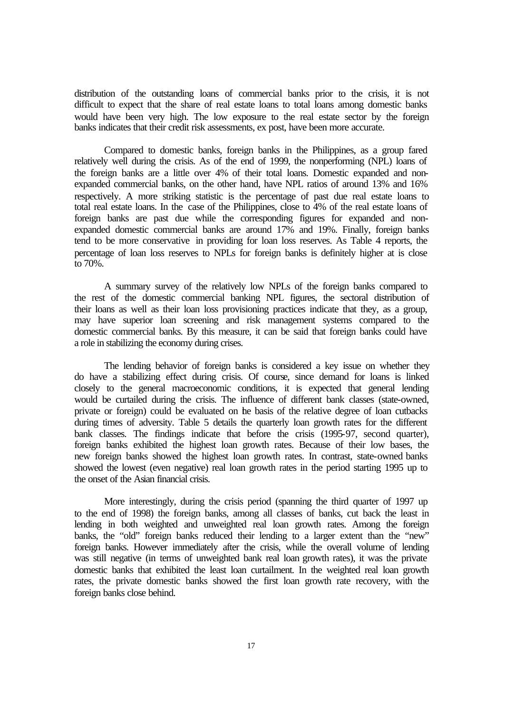distribution of the outstanding loans of commercial banks prior to the crisis, it is not difficult to expect that the share of real estate loans to total loans among domestic banks would have been very high. The low exposure to the real estate sector by the foreign banks indicates that their credit risk assessments, ex post, have been more accurate.

Compared to domestic banks, foreign banks in the Philippines, as a group fared relatively well during the crisis. As of the end of 1999, the nonperforming (NPL) loans of the foreign banks are a little over 4% of their total loans. Domestic expanded and nonexpanded commercial banks, on the other hand, have NPL ratios of around 13% and 16% respectively. A more striking statistic is the percentage of past due real estate loans to total real estate loans. In the case of the Philippines, close to 4% of the real estate loans of foreign banks are past due while the corresponding figures for expanded and nonexpanded domestic commercial banks are around 17% and 19%. Finally, foreign banks tend to be more conservative in providing for loan loss reserves. As Table 4 reports, the percentage of loan loss reserves to NPLs for foreign banks is definitely higher at is close to 70%.

A summary survey of the relatively low NPLs of the foreign banks compared to the rest of the domestic commercial banking NPL figures, the sectoral distribution of their loans as well as their loan loss provisioning practices indicate that they, as a group, may have superior loan screening and risk management systems compared to the domestic commercial banks. By this measure, it can be said that foreign banks could have a role in stabilizing the economy during crises.

The lending behavior of foreign banks is considered a key issue on whether they do have a stabilizing effect during crisis. Of course, since demand for loans is linked closely to the general macroeconomic conditions, it is expected that general lending would be curtailed during the crisis. The influence of different bank classes (state-owned, private or foreign) could be evaluated on the basis of the relative degree of loan cutbacks during times of adversity. Table 5 details the quarterly loan growth rates for the different bank classes. The findings indicate that before the crisis (1995-97, second quarter), foreign banks exhibited the highest loan growth rates. Because of their low bases, the new foreign banks showed the highest loan growth rates. In contrast, state-owned banks showed the lowest (even negative) real loan growth rates in the period starting 1995 up to the onset of the Asian financial crisis.

More interestingly, during the crisis period (spanning the third quarter of 1997 up to the end of 1998) the foreign banks, among all classes of banks, cut back the least in lending in both weighted and unweighted real loan growth rates. Among the foreign banks, the "old" foreign banks reduced their lending to a larger extent than the "new" foreign banks. However immediately after the crisis, while the overall volume of lending was still negative (in terms of unweighted bank real loan growth rates), it was the private domestic banks that exhibited the least loan curtailment. In the weighted real loan growth rates, the private domestic banks showed the first loan growth rate recovery, with the foreign banks close behind.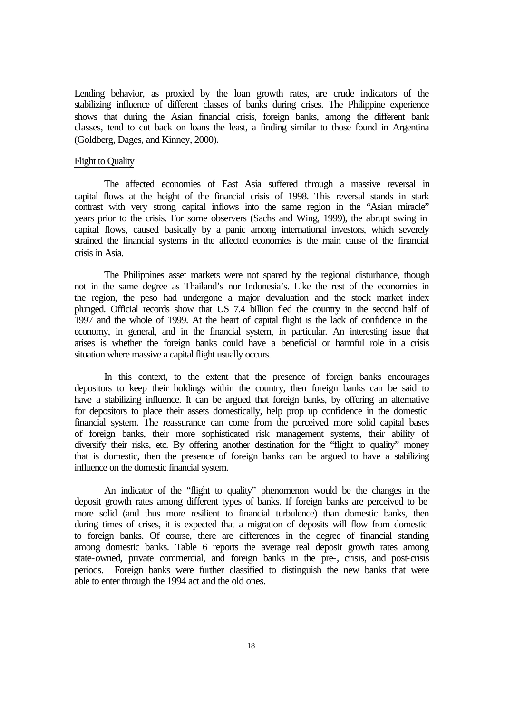Lending behavior, as proxied by the loan growth rates, are crude indicators of the stabilizing influence of different classes of banks during crises. The Philippine experience shows that during the Asian financial crisis, foreign banks, among the different bank classes, tend to cut back on loans the least, a finding similar to those found in Argentina (Goldberg, Dages, and Kinney, 2000).

#### Flight to Quality

The affected economies of East Asia suffered through a massive reversal in capital flows at the height of the financial crisis of 1998. This reversal stands in stark contrast with very strong capital inflows into the same region in the "Asian miracle" years prior to the crisis. For some observers (Sachs and Wing, 1999), the abrupt swing in capital flows, caused basically by a panic among international investors, which severely strained the financial systems in the affected economies is the main cause of the financial crisis in Asia.

The Philippines asset markets were not spared by the regional disturbance, though not in the same degree as Thailand's nor Indonesia's. Like the rest of the economies in the region, the peso had undergone a major devaluation and the stock market index plunged. Official records show that US 7.4 billion fled the country in the second half of 1997 and the whole of 1999. At the heart of capital flight is the lack of confidence in the economy, in general, and in the financial system, in particular. An interesting issue that arises is whether the foreign banks could have a beneficial or harmful role in a crisis situation where massive a capital flight usually occurs.

In this context, to the extent that the presence of foreign banks encourages depositors to keep their holdings within the country, then foreign banks can be said to have a stabilizing influence. It can be argued that foreign banks, by offering an alternative for depositors to place their assets domestically, help prop up confidence in the domestic financial system. The reassurance can come from the perceived more solid capital bases of foreign banks, their more sophisticated risk management systems, their ability of diversify their risks, etc. By offering another destination for the "flight to quality" money that is domestic, then the presence of foreign banks can be argued to have a stabilizing influence on the domestic financial system.

An indicator of the "flight to quality" phenomenon would be the changes in the deposit growth rates among different types of banks. If foreign banks are perceived to be more solid (and thus more resilient to financial turbulence) than domestic banks, then during times of crises, it is expected that a migration of deposits will flow from domestic to foreign banks. Of course, there are differences in the degree of financial standing among domestic banks. Table 6 reports the average real deposit growth rates among state-owned, private commercial, and foreign banks in the pre-, crisis, and post-crisis periods. Foreign banks were further classified to distinguish the new banks that were able to enter through the 1994 act and the old ones.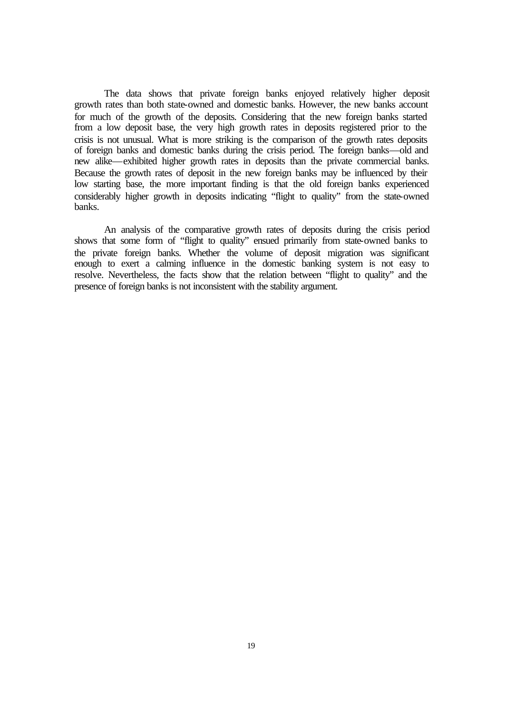The data shows that private foreign banks enjoyed relatively higher deposit growth rates than both state-owned and domestic banks. However, the new banks account for much of the growth of the deposits. Considering that the new foreign banks started from a low deposit base, the very high growth rates in deposits registered prior to the crisis is not unusual. What is more striking is the comparison of the growth rates deposits of foreign banks and domestic banks during the crisis period. The foreign banks—old and new alike—exhibited higher growth rates in deposits than the private commercial banks. Because the growth rates of deposit in the new foreign banks may be influenced by their low starting base, the more important finding is that the old foreign banks experienced considerably higher growth in deposits indicating "flight to quality" from the state-owned banks.

An analysis of the comparative growth rates of deposits during the crisis period shows that some form of "flight to quality" ensued primarily from state-owned banks to the private foreign banks. Whether the volume of deposit migration was significant enough to exert a calming influence in the domestic banking system is not easy to resolve. Nevertheless, the facts show that the relation between "flight to quality" and the presence of foreign banks is not inconsistent with the stability argument.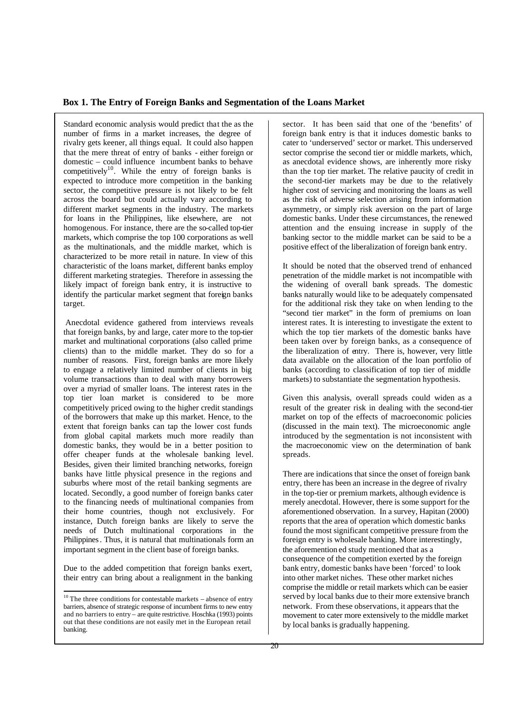#### **Box 1. The Entry of Foreign Banks and Segmentation of the Loans Market**

Standard economic analysis would predict that the as the number of firms in a market increases, the degree of rivalry gets keener, all things equal. It could also happen that the mere threat of entry of banks - either foreign or domestic – could influence incumbent banks to behave competitively<sup>10</sup>. While the entry of foreign banks is expected to introduce more competition in the banking sector, the competitive pressure is not likely to be felt across the board but could actually vary according to different market segments in the industry. The markets for loans in the Philippines, like elsewhere, are not homogenous. For instance, there are the so-called top-tier markets, which comprise the top 100 corporations as well as the multinationals, and the middle market, which is characterized to be more retail in nature. In view of this characteristic of the loans market, different banks employ different marketing strategies. Therefore in assessing the likely impact of foreign bank entry, it is instructive to identify the particular market segment that foreign banks target.

 Anecdotal evidence gathered from interviews reveals that foreign banks, by and large, cater more to the top-tier market and multinational corporations (also called prime clients) than to the middle market. They do so for a number of reasons. First, foreign banks are more likely to engage a relatively limited number of clients in big volume transactions than to deal with many borrowers over a myriad of smaller loans. The interest rates in the top tier loan market is considered to be more competitively priced owing to the higher credit standings of the borrowers that make up this market. Hence, to the extent that foreign banks can tap the lower cost funds from global capital markets much more readily than domestic banks, they would be in a better position to offer cheaper funds at the wholesale banking level. Besides, given their limited branching networks, foreign banks have little physical presence in the regions and suburbs where most of the retail banking segments are located. Secondly, a good number of foreign banks cater to the financing needs of multinational companies from their home countries, though not exclusively. For instance, Dutch foreign banks are likely to serve the needs of Dutch multinational corporations in the Philippines. Thus, it is natural that multinationals form an important segment in the client base of foreign banks.

Due to the added competition that foreign banks exert, their entry can bring about a realignment in the banking sector. It has been said that one of the 'benefits' of foreign bank entry is that it induces domestic banks to cater to 'underserved' sector or market. This underserved sector comprise the second tier or middle markets, which, as anecdotal evidence shows, are inherently more risky than the top tier market. The relative paucity of credit in the second-tier markets may be due to the relatively higher cost of servicing and monitoring the loans as well as the risk of adverse selection arising from information asymmetry, or simply risk aversion on the part of large domestic banks. Under these circumstances, the renewed attention and the ensuing increase in supply of the banking sector to the middle market can be said to be a positive effect of the liberalization of foreign bank entry.

It should be noted that the observed trend of enhanced penetration of the middle market is not incompatible with the widening of overall bank spreads. The domestic banks naturally would like to be adequately compensated for the additional risk they take on when lending to the "second tier market" in the form of premiums on loan interest rates. It is interesting to investigate the extent to which the top tier markets of the domestic banks have been taken over by foreign banks, as a consequence of the liberalization of entry. There is, however, very little data available on the allocation of the loan portfolio of banks (according to classification of top tier of middle markets) to substantiate the segmentation hypothesis.

Given this analysis, overall spreads could widen as a result of the greater risk in dealing with the second-tier market on top of the effects of macroeconomic policies (discussed in the main text). The microeconomic angle introduced by the segmentation is not inconsistent with the macroeconomic view on the determination of bank spreads.

There are indications that since the onset of foreign bank entry, there has been an increase in the degree of rivalry in the top-tier or premium markets, although evidence is merely anecdotal. However, there is some support for the aforementioned observation. In a survey, Hapitan (2000) reports that the area of operation which domestic banks found the most significant competitive pressure from the foreign entry is wholesale banking. More interestingly, the aforemention ed study mentioned that as a consequence of the competition exerted by the foreign bank entry, domestic banks have been 'forced' to look into other market niches. These other market niches comprise the middle or retail markets which can be easier served by local banks due to their more extensive branch network. From these observations, it appears that the movement to cater more extensively to the middle market by local banks is gradually happening.

 $\overline{\phantom{a}}$  $10$  The three conditions for contestable markets – absence of entry barriers, absence of strategic response of incumbent firms to new entry and no barriers to entry – are quite restrictive. Hoschka (1993) points out that these conditions are not easily met in the European retail banking.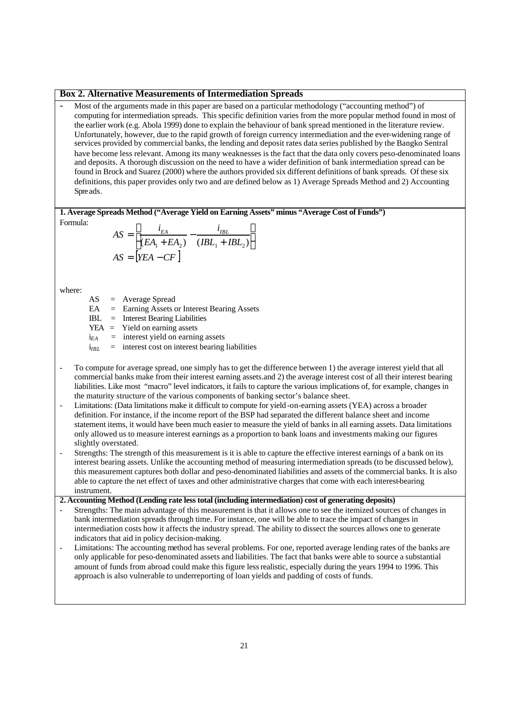#### **Box 2. Alternative Measurements of Intermediation Spreads**

Most of the arguments made in this paper are based on a particular methodology ("accounting method") of computing for intermediation spreads. This specific definition varies from the more popular method found in most of the earlier work (e.g. Abola 1999) done to explain the behaviour of bank spread mentioned in the literature review. Unfortunately, however, due to the rapid growth of foreign currency intermediation and the ever-widening range of services provided by commercial banks, the lending and deposit rates data series published by the Bangko Sentral have become less relevant. Among its many weaknesses is the fact that the data only covers peso-denominated loans and deposits. A thorough discussion on the need to have a wider definition of bank intermediation spread can be found in Brock and Suarez (2000) where the authors provided six different definitions of bank spreads. Of these six definitions, this paper provides only two and are defined below as 1) Average Spreads Method and 2) Accounting Spreads.

**1. Average Spreads Method ("Average Yield on Earning Assets" minus "Average Cost of Funds")** 

Formula:

$$
AS = \left[ \frac{i_{EA}}{(EA_1 + EA_2)} - \frac{i_{IBL}}{(IBL_1 + IBL_2)} \right]
$$
  
 
$$
AS = \left[ YEA - CF \right]
$$

where:

AS = Average Spread

EA = Earning Assets or Interest Bearing Assets

IBL = Interest Bearing Liabilities

- $YEA$  = Yield on earning assets
- $i_{EA}$  = interest yield on earning assets
- $i<sub>IBL</sub>$  = interest cost on interest bearing liabilities
- To compute for average spread, one simply has to get the difference between 1) the average interest yield that all commercial banks make from their interest earning assets.and 2) the average interest cost of all their interest bearing liabilities. Like most "macro" level indicators, it fails to capture the various implications of, for example, changes in the maturity structure of the various components of banking sector's balance sheet.
- Limitations: (Data limitations make it difficult to compute for yield -on-earning assets (YEA) across a broader definition. For instance, if the income report of the BSP had separated the different balance sheet and income statement items, it would have been much easier to measure the yield of banks in all earning assets. Data limitations only allowed us to measure interest earnings as a proportion to bank loans and investments making our figures slightly overstated.
- Strengths: The strength of this measurement is it is able to capture the effective interest earnings of a bank on its interest bearing assets. Unlike the accounting method of measuring intermediation spreads (to be discussed below), this measurement captures both dollar and peso-denominated liabilities and assets of the commercial banks. It is also able to capture the net effect of taxes and other administrative charges that come with each interest-bearing instrument.

### **2. Accounting Method (Lending rate less total (including intermediation) cost of generating deposits)**

- Strengths: The main advantage of this measurement is that it allows one to see the itemized sources of changes in bank intermediation spreads through time. For instance, one will be able to trace the impact of changes in intermediation costs how it affects the industry spread. The ability to dissect the sources allows one to generate indicators that aid in policy decision-making.
- Limitations: The accounting method has several problems. For one, reported average lending rates of the banks are only applicable for peso-denominated assets and liabilities. The fact that banks were able to source a substantial amount of funds from abroad could make this figure less realistic, especially during the years 1994 to 1996. This approach is also vulnerable to underreporting of loan yields and padding of costs of funds.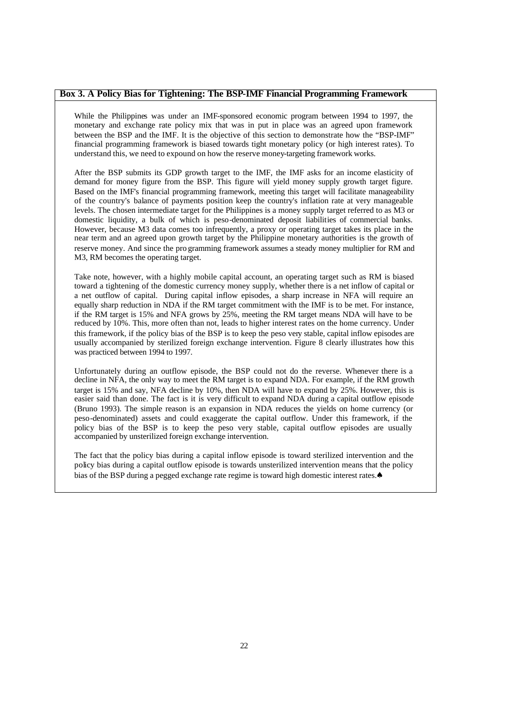#### **Box 3. A Policy Bias for Tightening: The BSP-IMF Financial Programming Framework**

While the Philippines was under an IMF-sponsored economic program between 1994 to 1997, the monetary and exchange rate policy mix that was in put in place was an agreed upon framework between the BSP and the IMF. It is the objective of this section to demonstrate how the "BSP-IMF" financial programming framework is biased towards tight monetary policy (or high interest rates). To understand this, we need to expound on how the reserve money-targeting framework works.

After the BSP submits its GDP growth target to the IMF, the IMF asks for an income elasticity of demand for money figure from the BSP. This figure will yield money supply growth target figure. Based on the IMF's financial programming framework, meeting this target will facilitate manageability of the country's balance of payments position keep the country's inflation rate at very manageable levels. The chosen intermediate target for the Philippines is a money supply target referred to as M3 or domestic liquidity, a bulk of which is peso-denominated deposit liabilities of commercial banks. However, because M3 data comes too infrequently, a proxy or operating target takes its place in the near term and an agreed upon growth target by the Philippine monetary authorities is the growth of reserve money. And since the pro gramming framework assumes a steady money multiplier for RM and M3, RM becomes the operating target.

Take note, however, with a highly mobile capital account, an operating target such as RM is biased toward a tightening of the domestic currency money supply, whether there is a net inflow of capital or a net outflow of capital. During capital inflow episodes, a sharp increase in NFA will require an equally sharp reduction in NDA if the RM target commitment with the IMF is to be met. For instance, if the RM target is 15% and NFA grows by 25%, meeting the RM target means NDA will have to be reduced by 10%. This, more often than not, leads to higher interest rates on the home currency. Under this framework, if the policy bias of the BSP is to keep the peso very stable, capital inflow episodes are usually accompanied by sterilized foreign exchange intervention. Figure 8 clearly illustrates how this was practiced between 1994 to 1997.

Unfortunately during an outflow episode, the BSP could not do the reverse. Whenever there is a decline in NFA, the only way to meet the RM target is to expand NDA. For example, if the RM growth target is 15% and say, NFA decline by 10%, then NDA will have to expand by 25%. However, this is easier said than done. The fact is it is very difficult to expand NDA during a capital outflow episode (Bruno 1993). The simple reason is an expansion in NDA reduces the yields on home currency (or peso-denominated) assets and could exaggerate the capital outflow. Under this framework, if the policy bias of the BSP is to keep the peso very stable, capital outflow episodes are usually accompanied by unsterilized foreign exchange intervention.

The fact that the policy bias during a capital inflow episode is toward sterilized intervention and the policy bias during a capital outflow episode is towards unsterilized intervention means that the policy bias of the BSP during a pegged exchange rate regime is toward high domestic interest rates.♠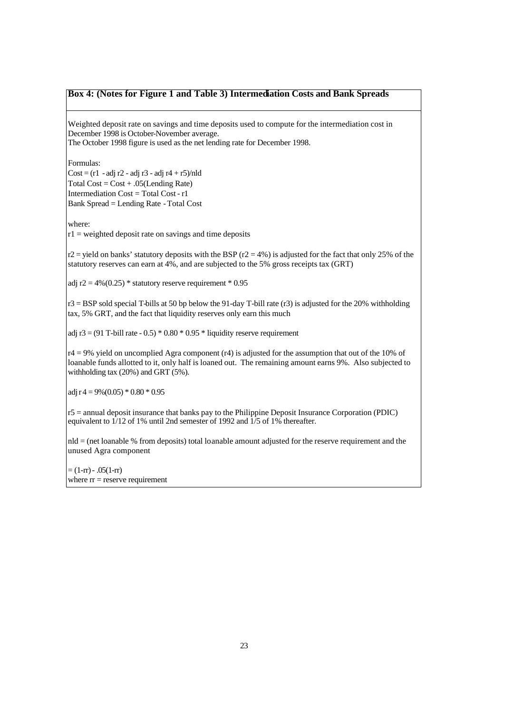#### **Box 4: (Notes for Figure 1 and Table 3) Intermediation Costs and Bank Spreads**

Weighted deposit rate on savings and time deposits used to compute for the intermediation cost in December 1998 is October-November average. The October 1998 figure is used as the net lending rate for December 1998.

Formulas:

 $Cost = (r1 - adj r2 - adj r3 - adj r4 + r5)/nld$ Total  $Cost = Cost + .05(Lengthing Rate)$ Intermediation Cost = Total Cost - r1 Bank Spread = Lending Rate - Total Cost

where:

 $r1$  = weighted deposit rate on savings and time deposits

r2 = yield on banks' statutory deposits with the BSP ( $r2 = 4\%$ ) is adjusted for the fact that only 25% of the statutory reserves can earn at 4%, and are subjected to the 5% gross receipts tax (GRT)

adj r2 = 4%(0.25) \* statutory reserve requirement \* 0.95

 $r3 = BSP$  sold special T-bills at 50 bp below the 91-day T-bill rate (r3) is adjusted for the 20% withholding tax, 5% GRT, and the fact that liquidity reserves only earn this much

adj  $r3 = (91$  T-bill rate - 0.5)  $*$  0.80  $*$  0.95  $*$  liquidity reserve requirement

 $r4 = 9%$  yield on uncomplied Agra component (r4) is adjusted for the assumption that out of the 10% of loanable funds allotted to it, only half is loaned out. The remaining amount earns 9%. Also subjected to withholding tax (20%) and GRT (5%).

adj r 4 =  $9\%(0.05) * 0.80 * 0.95$ 

r5 = annual deposit insurance that banks pay to the Philippine Deposit Insurance Corporation (PDIC) equivalent to  $1/12$  of 1% until 2nd semester of 1992 and  $1/5$  of 1% thereafter.

nld = (net loanable % from deposits) total loanable amount adjusted for the reserve requirement and the unused Agra component

 $=(1-rr) - .05(1-rr)$ where  $rr =$  reserve requirement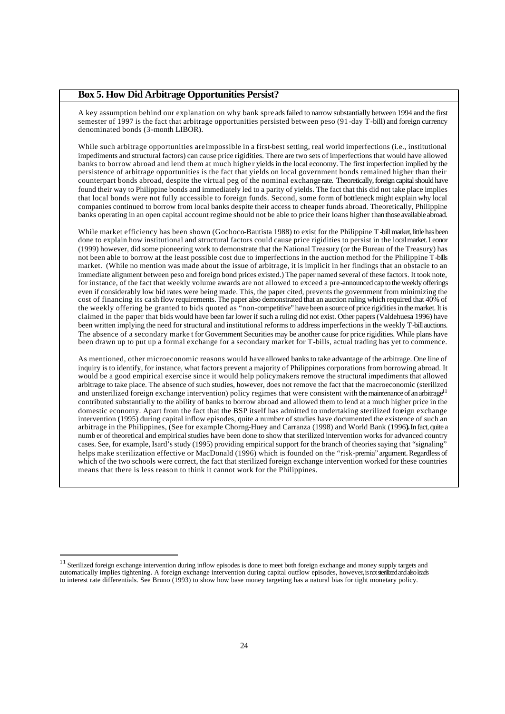#### **Box 5. How Did Arbitrage Opportunities Persist?**

A key assumption behind our explanation on why bank spre ads failed to narrow substantially between 1994 and the first semester of 1997 is the fact that arbitrage opportunities persisted between peso (91-day T-bill) and foreign currency denominated bonds (3-month LIBOR).

While such arbitrage opportunities are impossible in a first-best setting, real world imperfections (i.e., institutional impediments and structural factors) can cause price rigidities. There are two sets of imperfections that would have allowed banks to borrow abroad and lend them at much highe r yields in the local economy. The first imperfection implied by the persistence of arbitrage opportunities is the fact that yields on local government bonds remained higher than their counterpart bonds abroad, despite the virtual peg of the nominal exchange rate. Theoretically, foreign capital should have found their way to Philippine bonds and immediately led to a parity of yields. The fact that this did not take place implies that local bonds were not fully accessible to foreign funds. Second, some form of bottleneck might explain why local companies continued to borrow from local banks despite their access to cheaper funds abroad. Theoretically, Philippine banks operating in an open capital account regime should not be able to price their loans higher than those available abroad.

While market efficiency has been shown (Gochoco-Bautista 1988) to exist for the Philippine T -bill market, little has been done to explain how institutional and structural factors could cause price rigidities to persist in the local market. Leonor (1999) however, did some pioneering work to demonstrate that the National Treasury (or the Bureau of the Treasury) has not been able to borrow at the least possible cost due to imperfections in the auction method for the Philippine T-bills market. (While no mention was made about the issue of arbitrage, it is implicit in her findings that an obstacle to an immediate alignment between peso and foreign bond prices existed.) The paper named several of these factors. It took note, for instance, of the fact that weekly volume awards are not allowed to exceed a pre-announced cap to the weekly offerings even if considerably low bid rates were being made. This, the paper cited, prevents the government from minimizing the cost of financing its ca sh flow requirements. The paper also demonstrated that an auction ruling which required that 40% of the weekly offering be granted to bids quoted as "non-competitive" have been a source of price rigidities in the market. It is claimed in the paper that bids would have been far lower if such a ruling did not exist. Other papers (Valdehuesa 1996) have been written implying the need for structural and institutional reforms to address imperfections in the weekly T-bill auctions. The absence of a secondary marke t for Government Securities may be another cause for price rigidities. While plans have been drawn up to put up a formal exchange for a secondary market for T-bills, actual trading has yet to commence.

As mentioned, other microeconomic reasons would have allowed banks to take advantage of the arbitrage. One line of inquiry is to identify, for instance, what factors prevent a majority of Philippines corporations from borrowing abroad. It would be a good empirical exercise since it would help policymakers remove the structural impediments that allowed arbitrage to take place. The absence of such studies, however, does not remove the fact that the macroeconomic (sterilized and unsterilized foreign exchange intervention) policy regimes that were consistent with the maintenance of an arbitrage<sup>11</sup> contributed substantially to the ability of banks to borrow abroad and allowed them to lend at a much higher price in the domestic economy. Apart from the fact that the BSP itself has admitted to undertaking sterilized foreign exchange intervention (1995) during capital inflow episodes, quite a number of studies have documented the existence of such an arbitrage in the Philippines, (See for example Chorng-Huey and Carranza (1998) and World Bank (1996**).** In fact, quite a numb er of theoretical and empirical studies have been done to show that sterilized intervention works for advanced country cases. See, for example, Isard's study (1995) providing empirical support for the branch of theories saying that "signaling" helps make sterilization effective or MacDonald (1996) which is founded on the "risk-premia" argument. Regardless of which of the two schools were correct, the fact that sterilized foreign exchange intervention worked for these countries means that there is less reason to think it cannot work for the Philippines.

l

<sup>&</sup>lt;sup>11</sup> Sterilized foreign exchange intervention during inflow episodes is done to meet both foreign exchange and money supply targets and automatically implies tightening. A foreign exchange intervention during capital outflow episodes, however, is not sterilized and also leads to interest rate differentials. See Bruno (1993) to show how base money targeting has a natural bias for tight monetary policy.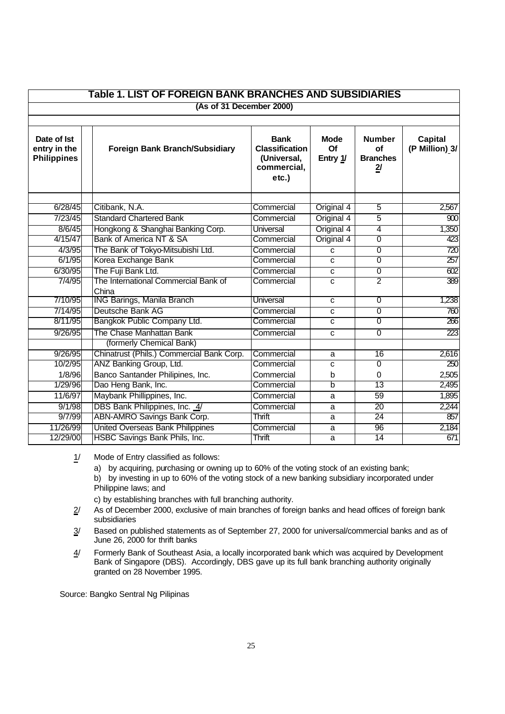| Table 1. LIST OF FOREIGN BANK BRANCHES AND SUBSIDIARIES |                                               |                                                                             |                               |                                                                 |                                  |  |  |
|---------------------------------------------------------|-----------------------------------------------|-----------------------------------------------------------------------------|-------------------------------|-----------------------------------------------------------------|----------------------------------|--|--|
|                                                         | (As of 31 December 2000)                      |                                                                             |                               |                                                                 |                                  |  |  |
|                                                         |                                               |                                                                             |                               |                                                                 |                                  |  |  |
| Date of Ist<br>entry in the<br><b>Philippines</b>       | <b>Foreign Bank Branch/Subsidiary</b>         | <b>Bank</b><br><b>Classification</b><br>(Universal,<br>commercial,<br>etc.) | <b>Mode</b><br>Of<br>Entry 1/ | <b>Number</b><br><b>of</b><br><b>Branches</b><br>$\overline{2}$ | <b>Capital</b><br>(P Million) 3/ |  |  |
| 6/28/45                                                 | Citibank, N.A.                                | Commercial                                                                  | Original 4                    | $\overline{5}$                                                  | 2,567                            |  |  |
| 7/23/45                                                 | <b>Standard Chartered Bank</b>                | Commercial                                                                  | Original 4                    | $\overline{5}$                                                  | 80                               |  |  |
| 8/6/45                                                  | Hongkong & Shanghai Banking Corp.             | Universal                                                                   | Original 4                    | 4                                                               | 1,350                            |  |  |
| 4/15/47                                                 | Bank of America NT & SA                       | Commercial                                                                  | Original 4                    | $\overline{0}$                                                  | 423                              |  |  |
| 4/3/95                                                  | The Bank of Tokyo-Mitsubishi Ltd.             | Commercial                                                                  | C                             | $\overline{0}$                                                  | 720                              |  |  |
| 6/1/95                                                  | Korea Exchange Bank                           | Commercial                                                                  | C                             | $\overline{0}$                                                  | $\overline{257}$                 |  |  |
| 6/30/95                                                 | The Fuji Bank Ltd.                            | Commercial                                                                  | C                             | $\overline{0}$                                                  | 602                              |  |  |
| 7/4/95                                                  | The International Commercial Bank of<br>China | Commercial                                                                  | C                             | $\overline{2}$                                                  | 389                              |  |  |
| 7/10/95                                                 | <b>ING Barings, Manila Branch</b>             | <b>Universal</b>                                                            | C                             | $\overline{0}$                                                  | 1,238                            |  |  |
| 7/14/95                                                 | Deutsche Bank AG                              | Commercial                                                                  | C                             | $\overline{0}$                                                  | 760                              |  |  |
| 8/11/95                                                 | Bangkok Public Company Ltd.                   | Commercial                                                                  | C                             | $\overline{0}$                                                  | 266                              |  |  |
| 9/26/95                                                 | The Chase Manhattan Bank                      | Commercial                                                                  | C                             | $\overline{0}$                                                  | 223                              |  |  |
|                                                         | (formerly Chemical Bank)                      |                                                                             |                               |                                                                 |                                  |  |  |
| 9/26/95                                                 | Chinatrust (Phils.) Commercial Bank Corp.     | Commercial                                                                  | a                             | $\overline{16}$                                                 | 2,616                            |  |  |
| 10/2/95                                                 | ANZ Banking Group, Ltd.                       | Commercial                                                                  | C                             | $\overline{0}$                                                  | 250                              |  |  |
| 1/8/96                                                  | Banco Santander Philipines, Inc.              | Commercial                                                                  | b                             | 0                                                               | 2,505                            |  |  |
| 1/29/96                                                 | Dao Heng Bank, Inc.                           | Commercial                                                                  | b                             | 13                                                              | 2,495                            |  |  |
| 11/6/97                                                 | Maybank Phillippines, Inc.                    | Commercial                                                                  | a                             | 59                                                              | 1,895                            |  |  |
| 9/1/98                                                  | DBS Bank Philippines, Inc. 4/                 | Commercial                                                                  | a                             | 20                                                              | 2,244                            |  |  |
| 9/7/99                                                  | ABN-AMRO Savings Bank Corp.                   | <b>Thrift</b>                                                               | a                             | 24                                                              | 857                              |  |  |
| 11/26/99                                                | <b>United Overseas Bank Philippines</b>       | Commercial                                                                  | a                             | 96                                                              | 2,184                            |  |  |
| 12/29/00                                                | HSBC Savings Bank Phils, Inc.                 | Thrift                                                                      | a                             | 14                                                              | 671                              |  |  |

1/ Mode of Entry classified as follows:

a) by acquiring, purchasing or owning up to 60% of the voting stock of an existing bank;

b) by investing in up to 60% of the voting stock of a new banking subsidiary incorporated under Philippine laws; and

c) by establishing branches with full branching authority.

- $2/$  As of December 2000, exclusive of main branches of foreign banks and head offices of foreign bank subsidiaries
- 3/ Based on published statements as of September 27, 2000 for universal/commercial banks and as of June 26, 2000 for thrift banks
- 4/ Formerly Bank of Southeast Asia, a locally incorporated bank which was acquired by Development Bank of Singapore (DBS). Accordingly, DBS gave up its full bank branching authority originally granted on 28 November 1995.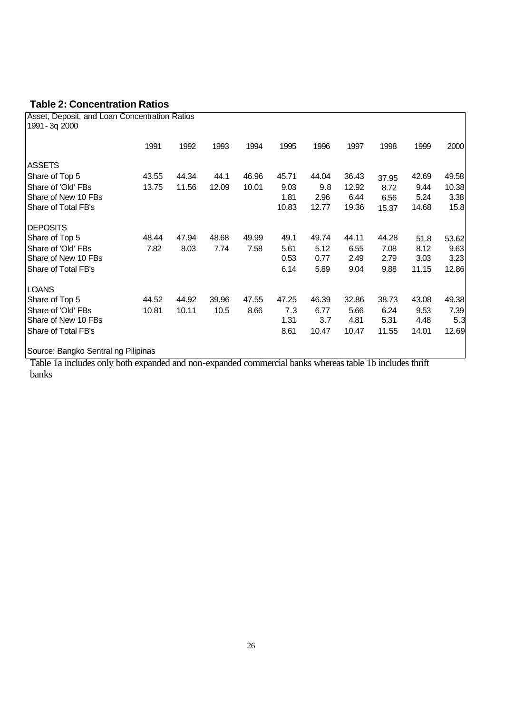## **Table 2: Concentration Ratios**

| Asset, Deposit, and Loan Concentration Ratios<br>1991 - 3q 2000                                                                                |       |       |       |       |       |       |       |       |       |       |
|------------------------------------------------------------------------------------------------------------------------------------------------|-------|-------|-------|-------|-------|-------|-------|-------|-------|-------|
|                                                                                                                                                | 1991  | 1992  | 1993  | 1994  | 1995  | 1996  | 1997  | 1998  | 1999  | 2000  |
| <b>ASSETS</b>                                                                                                                                  |       |       |       |       |       |       |       |       |       |       |
| Share of Top 5                                                                                                                                 | 43.55 | 44.34 | 44.1  | 46.96 | 45.71 | 44.04 | 36.43 | 37.95 | 42.69 | 49.58 |
| Share of 'Old' FBs                                                                                                                             | 13.75 | 11.56 | 12.09 | 10.01 | 9.03  | 9.8   | 12.92 | 8.72  | 9.44  | 10.38 |
| Share of New 10 FBs                                                                                                                            |       |       |       |       | 1.81  | 2.96  | 6.44  | 6.56  | 5.24  | 3.38  |
| Share of Total FB's                                                                                                                            |       |       |       |       | 10.83 | 12.77 | 19.36 | 15.37 | 14.68 | 15.8  |
| <b>DEPOSITS</b>                                                                                                                                |       |       |       |       |       |       |       |       |       |       |
| Share of Top 5                                                                                                                                 | 48.44 | 47.94 | 48.68 | 49.99 | 49.1  | 49.74 | 44.11 | 44.28 | 51.8  | 53.62 |
| Share of 'Old' FBs                                                                                                                             | 7.82  | 8.03  | 7.74  | 7.58  | 5.61  | 5.12  | 6.55  | 7.08  | 8.12  | 9.63  |
| Share of New 10 FBs                                                                                                                            |       |       |       |       | 0.53  | 0.77  | 2.49  | 2.79  | 3.03  | 3.23  |
| Share of Total FB's                                                                                                                            |       |       |       |       | 6.14  | 5.89  | 9.04  | 9.88  | 11.15 | 12.86 |
| <b>LOANS</b>                                                                                                                                   |       |       |       |       |       |       |       |       |       |       |
| Share of Top 5                                                                                                                                 | 44.52 | 44.92 | 39.96 | 47.55 | 47.25 | 46.39 | 32.86 | 38.73 | 43.08 | 49.38 |
| Share of 'Old' FBs                                                                                                                             | 10.81 | 10.11 | 10.5  | 8.66  | 7.3   | 6.77  | 5.66  | 6.24  | 9.53  | 7.39  |
| Share of New 10 FBs                                                                                                                            |       |       |       |       | 1.31  | 3.7   | 4.81  | 5.31  | 4.48  | 5.3   |
| Share of Total FB's                                                                                                                            |       |       |       |       | 8.61  | 10.47 | 10.47 | 11.55 | 14.01 | 12.69 |
| Source: Bangko Sentral ng Pilipinas<br>Toble 10 includes only both expanded and non-expanded commercial banks whereas toble 1b includes thrift |       |       |       |       |       |       |       |       |       |       |

Table 1a includes only both expanded and non-expanded commercial banks whereas table 1b includes thrift banks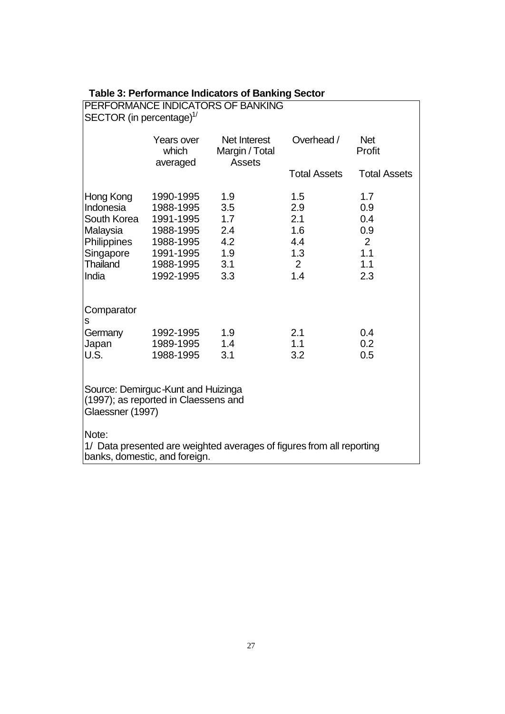| <b>Table 3: Performance Indicators of Banking Sector</b> |
|----------------------------------------------------------|
|----------------------------------------------------------|

| PERFORMANCE INDICATORS OF BANKING<br>SECTOR (in percentage) $\frac{1}{2}$                                       |                                                                                                      |                                                      |                                                                 |                                                    |  |  |  |
|-----------------------------------------------------------------------------------------------------------------|------------------------------------------------------------------------------------------------------|------------------------------------------------------|-----------------------------------------------------------------|----------------------------------------------------|--|--|--|
|                                                                                                                 | Years over<br>which<br>averaged                                                                      | Net Interest<br>Margin / Total<br><b>Assets</b>      | Overhead /                                                      | <b>Net</b><br>Profit                               |  |  |  |
|                                                                                                                 |                                                                                                      |                                                      | <b>Total Assets</b>                                             | <b>Total Assets</b>                                |  |  |  |
| Hong Kong<br>Indonesia<br>South Korea<br>Malaysia<br>Philippines<br>Singapore<br><b>Thailand</b><br>India       | 1990-1995<br>1988-1995<br>1991-1995<br>1988-1995<br>1988-1995<br>1991-1995<br>1988-1995<br>1992-1995 | 1.9<br>3.5<br>1.7<br>2.4<br>4.2<br>1.9<br>3.1<br>3.3 | 1.5<br>2.9<br>2.1<br>1.6<br>4.4<br>1.3<br>$\overline{2}$<br>1.4 | 1.7<br>0.9<br>0.4<br>0.9<br>2<br>1.1<br>1.1<br>2.3 |  |  |  |
| Comparator<br>S<br>Germany<br>Japan<br>U.S.                                                                     | 1992-1995<br>1989-1995<br>1988-1995                                                                  | 1.9<br>1.4<br>3.1                                    | 2.1<br>1.1<br>3.2                                               | 0.4<br>0.2<br>0.5                                  |  |  |  |
| Source: Demirguc-Kunt and Huizinga<br>(1997); as reported in Claessens and<br>Glaessner (1997)                  |                                                                                                      |                                                      |                                                                 |                                                    |  |  |  |
| Note:<br>1/ Data presented are weighted averages of figures from all reporting<br>banks, domestic, and foreign. |                                                                                                      |                                                      |                                                                 |                                                    |  |  |  |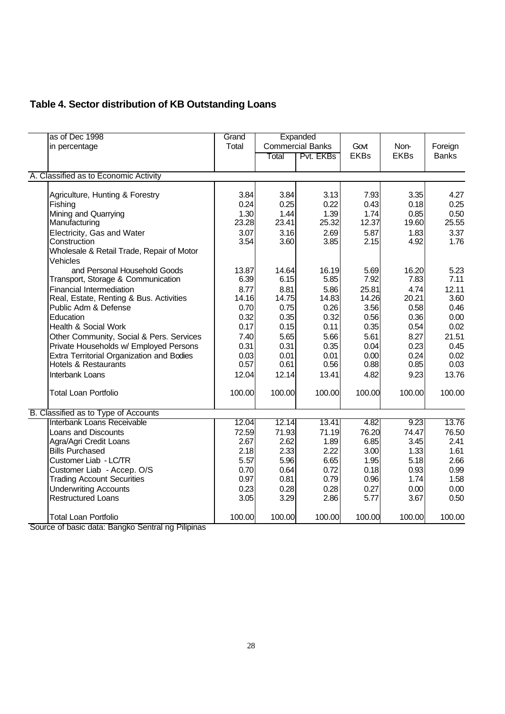# **Table 4. Sector distribution of KB Outstanding Loans**

| as of Dec 1998                                        | Grand  |        | Expanded                |             |             |              |
|-------------------------------------------------------|--------|--------|-------------------------|-------------|-------------|--------------|
| in percentage                                         | Total  |        | <b>Commercial Banks</b> | Govt        | Non-        | Foreign      |
|                                                       |        | Total  | Pvt. EKBs               | <b>EKBs</b> | <b>EKBs</b> | <b>Banks</b> |
| A. Classified as to Economic Activity                 |        |        |                         |             |             |              |
|                                                       |        |        |                         |             |             |              |
| Agriculture, Hunting & Forestry                       | 3.84   | 3.84   | 3.13                    | 7.93        | 3.35        | 4.27         |
| Fishing                                               | 0.24   | 0.25   | 0.22                    | 0.43        | 0.18        | 0.25         |
| Mining and Quarrying                                  | 1.30   | 1.44   | 1.39                    | 1.74        | 0.85        | 0.50         |
| Manufacturing                                         | 23.28  | 23.41  | 25.32                   | 12.37       | 19.60       | 25.55        |
| Electricity, Gas and Water                            | 3.07   | 3.16   | 2.69                    | 5.87        | 1.83        | 3.37         |
| Construction                                          | 3.54   | 3.60   | 3.85                    | 2.15        | 4.92        | 1.76         |
| Wholesale & Retail Trade, Repair of Motor<br>Vehicles |        |        |                         |             |             |              |
| and Personal Household Goods                          | 13.87  | 14.64  | 16.19                   | 5.69        | 16.20       | 5.23         |
| Transport, Storage & Communication                    | 6.39   | 6.15   | 5.85                    | 7.92        | 7.83        | 7.11         |
| Financial Intermediation                              | 8.77   | 8.81   | 5.86                    | 25.81       | 4.74        | 12.11        |
| Real, Estate, Renting & Bus. Activities               | 14.16  | 14.75  | 14.83                   | 14.26       | 20.21       | 3.60         |
| Public Adm & Defense                                  | 0.70   | 0.75   | 0.26                    | 3.56        | 0.58        | 0.46         |
| Education                                             | 0.32   | 0.35   | 0.32                    | 0.56        | 0.36        | 0.00         |
| Health & Social Work                                  | 0.17   | 0.15   | 0.11                    | 0.35        | 0.54        | 0.02         |
| Other Community, Social & Pers. Services              | 7.40   | 5.65   | 5.66                    | 5.61        | 8.27        | 21.51        |
| Private Households w/ Employed Persons                | 0.31   | 0.31   | 0.35                    | 0.04        | 0.23        | 0.45         |
| Extra Territorial Organization and Bodies             | 0.03   | 0.01   | 0.01                    | 0.00        | 0.24        | 0.02         |
| <b>Hotels &amp; Restaurants</b>                       | 0.57   | 0.61   | 0.56                    | 0.88        | 0.85        | 0.03         |
| Interbank Loans                                       | 12.04  | 12.14  | 13.41                   | 4.82        | 9.23        | 13.76        |
| <b>Total Loan Portfolio</b>                           | 100.00 | 100.00 | 100.00                  | 100.00      | 100.00      | 100.00       |
| B. Classified as to Type of Accounts                  |        |        |                         |             |             |              |
| Interbank Loans Receivable                            | 12.04  | 12.14  | 13.41                   | 4.82        | 9.23        | 13.76        |
| Loans and Discounts                                   | 72.59  | 71.93  | 71.19                   | 76.20       | 74.47       | 76.50        |
| Agra/Agri Credit Loans                                | 2.67   | 2.62   | 1.89                    | 6.85        | 3.45        | 2.41         |
| <b>Bills Purchased</b>                                | 2.18   | 2.33   | 2.22                    | 3.00        | 1.33        | 1.61         |
| Customer Liab - LC/TR                                 | 5.57   | 5.96   | 6.65                    | 1.95        | 5.18        | 2.66         |
| Customer Liab - Accep. O/S                            | 0.70   | 0.64   | 0.72                    | 0.18        | 0.93        | 0.99         |
| <b>Trading Account Securities</b>                     | 0.97   | 0.81   | 0.79                    | 0.96        | 1.74        | 1.58         |
| <b>Underwriting Accounts</b>                          | 0.23   | 0.28   | 0.28                    | 0.27        | 0.00        | 0.00         |
| <b>Restructured Loans</b>                             | 3.05   | 3.29   | 2.86                    | 5.77        | 3.67        | 0.50         |
| <b>Total Loan Portfolio</b>                           | 100.00 | 100.00 | 100.00                  | 100.00      | 100.00      | 100.00       |

Source of basic data: Bangko Sentral ng Pilipinas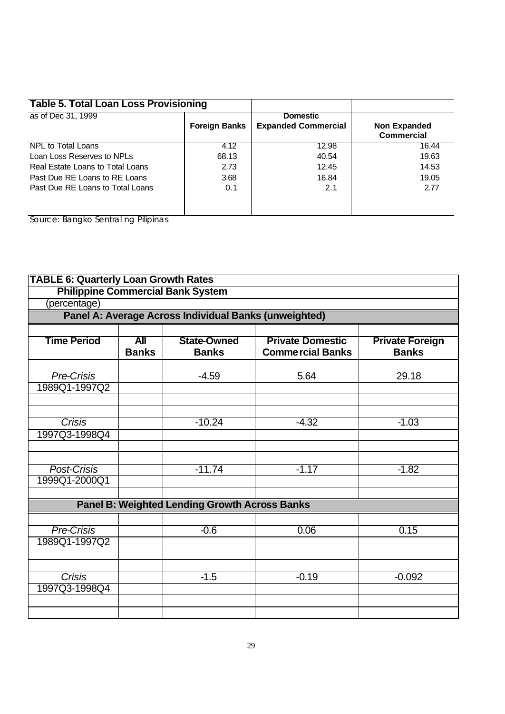| <b>Table 5. Total Loan Loss Provisioning</b> |                      |                                               |                                          |
|----------------------------------------------|----------------------|-----------------------------------------------|------------------------------------------|
| as of Dec 31, 1999                           | <b>Foreign Banks</b> | <b>Domestic</b><br><b>Expanded Commercial</b> | <b>Non Expanded</b><br><b>Commercial</b> |
| NPL to Total Loans                           | 4.12                 | 12.98                                         | 16.44                                    |
| Loan Loss Reserves to NPLs                   | 68.13                | 40.54                                         | 19.63                                    |
| Real Estate Loans to Total Loans             | 2.73                 | 12.45                                         | 14.53                                    |
| Past Due RE Loans to RE Loans                | 3.68                 | 16.84                                         | 19.05                                    |
| Past Due RE Loans to Total Loans             | 0.1                  | 2.1                                           | 2.77                                     |

| <b>TABLE 6: Quarterly Loan Growth Rates</b> |                            |                                                       |                                                    |                                        |
|---------------------------------------------|----------------------------|-------------------------------------------------------|----------------------------------------------------|----------------------------------------|
|                                             |                            | <b>Philippine Commercial Bank System</b>              |                                                    |                                        |
| (percentage)                                |                            |                                                       |                                                    |                                        |
|                                             |                            | Panel A: Average Across Individual Banks (unweighted) |                                                    |                                        |
|                                             |                            |                                                       |                                                    |                                        |
| <b>Time Period</b>                          | <b>All</b><br><b>Banks</b> | <b>State-Owned</b><br><b>Banks</b>                    | <b>Private Domestic</b><br><b>Commercial Banks</b> | <b>Private Foreign</b><br><b>Banks</b> |
| Pre-Crisis                                  |                            | $-4.59$                                               | 5.64                                               | 29.18                                  |
| 1989Q1-1997Q2                               |                            |                                                       |                                                    |                                        |
|                                             |                            |                                                       |                                                    |                                        |
|                                             |                            |                                                       |                                                    |                                        |
| Crisis                                      |                            | $-10.24$                                              | $-4.32$                                            | $-1.03$                                |
| 1997Q3-1998Q4                               |                            |                                                       |                                                    |                                        |
|                                             |                            |                                                       |                                                    |                                        |
| Post-Crisis                                 |                            | $-11.74$                                              | $-1.17$                                            | $-1.82$                                |
| 1999Q1-2000Q1                               |                            |                                                       |                                                    |                                        |
|                                             |                            |                                                       |                                                    |                                        |
|                                             |                            | <b>Panel B: Weighted Lending Growth Across Banks</b>  |                                                    |                                        |
|                                             |                            |                                                       |                                                    |                                        |
| <b>Pre-Crisis</b>                           |                            | $-0.6$                                                | 0.06                                               | 0.15                                   |
| 1989Q1-1997Q2                               |                            |                                                       |                                                    |                                        |
|                                             |                            |                                                       |                                                    |                                        |
| <b>Crisis</b>                               |                            | $-1.5$                                                | $-0.19$                                            | $-0.092$                               |
| 1997Q3-1998Q4                               |                            |                                                       |                                                    |                                        |
|                                             |                            |                                                       |                                                    |                                        |
|                                             |                            |                                                       |                                                    |                                        |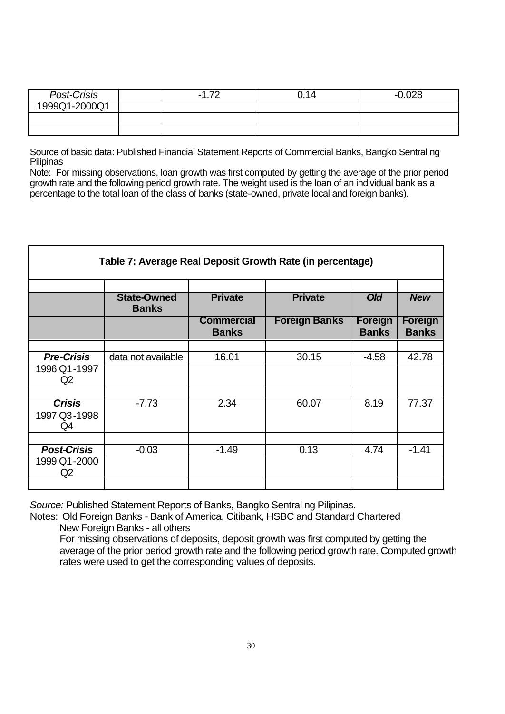| Post-Crisis   | 70<br>- | U.14 | סרח ו |
|---------------|---------|------|-------|
| 1999Q1-2000Q1 |         |      |       |
|               |         |      |       |
|               |         |      |       |

Source of basic data: Published Financial Statement Reports of Commercial Banks, Bangko Sentral ng Pilipinas

Note: For missing observations, loan growth was first computed by getting the average of the prior period growth rate and the following period growth rate. The weight used is the loan of an individual bank as a percentage to the total loan of the class of banks (state-owned, private local and foreign banks).

| Table 7: Average Real Deposit Growth Rate (in percentage) |                                    |                                   |                      |                                |                                |
|-----------------------------------------------------------|------------------------------------|-----------------------------------|----------------------|--------------------------------|--------------------------------|
|                                                           | <b>State-Owned</b><br><b>Banks</b> | <b>Private</b>                    | <b>Private</b>       | <b>Old</b>                     | <b>New</b>                     |
|                                                           |                                    | <b>Commercial</b><br><b>Banks</b> | <b>Foreign Banks</b> | <b>Foreign</b><br><b>Banks</b> | <b>Foreign</b><br><b>Banks</b> |
|                                                           |                                    |                                   |                      |                                |                                |
| <b>Pre-Crisis</b>                                         | data not available                 | 16.01                             | 30.15                | $-4.58$                        | 42.78                          |
| 1996 Q1-1997<br>Q2                                        |                                    |                                   |                      |                                |                                |
|                                                           |                                    |                                   |                      |                                |                                |
| <b>Crisis</b><br>1997 Q3-1998<br>Q4                       | $-7.73$                            | 2.34                              | 60.07                | 8.19                           | 77.37                          |
|                                                           |                                    |                                   |                      |                                |                                |
| <b>Post-Crisis</b><br>1999 Q1-2000<br>Q2                  | $-0.03$                            | $-1.49$                           | 0.13                 | 4.74                           | $-1.41$                        |

*Source:* Published Statement Reports of Banks, Bangko Sentral ng Pilipinas.

Notes: Old Foreign Banks - Bank of America, Citibank, HSBC and Standard Chartered New Foreign Banks - all others

For missing observations of deposits, deposit growth was first computed by getting the average of the prior period growth rate and the following period growth rate. Computed growth rates were used to get the corresponding values of deposits.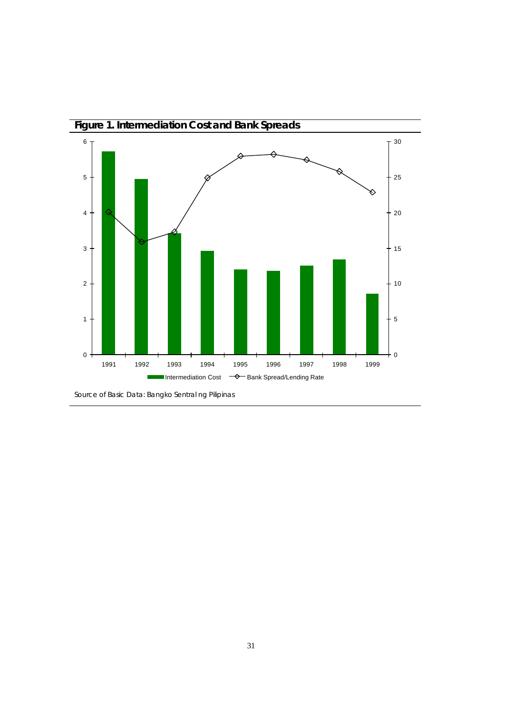

Source of Basic Data: Bangko Sentral ng Pilipinas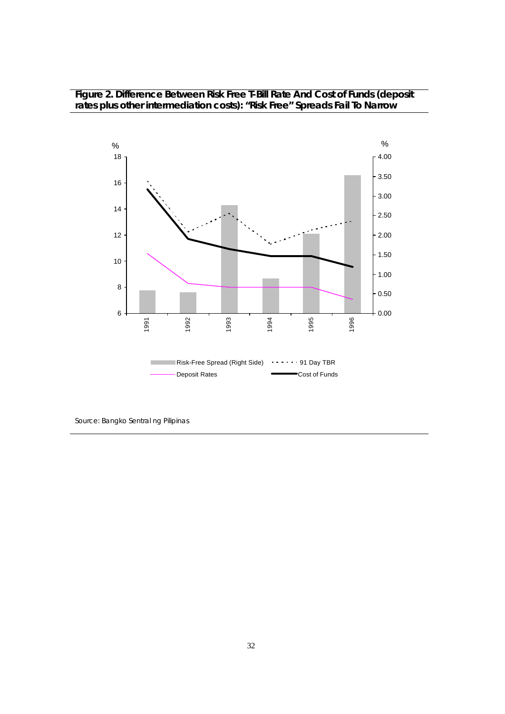### **Figure 2. Difference Between Risk Free T-Bill Rate And Cost of Funds (deposit rates plus other intermediation costs): "Risk Free" Spreads Fail To Narrow**

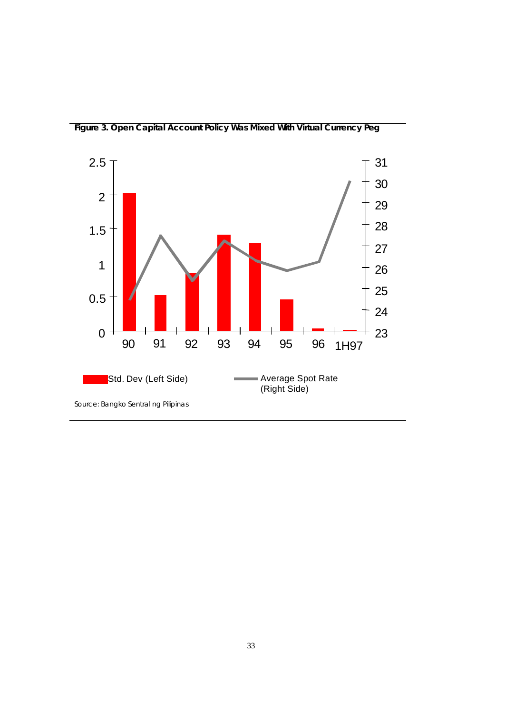

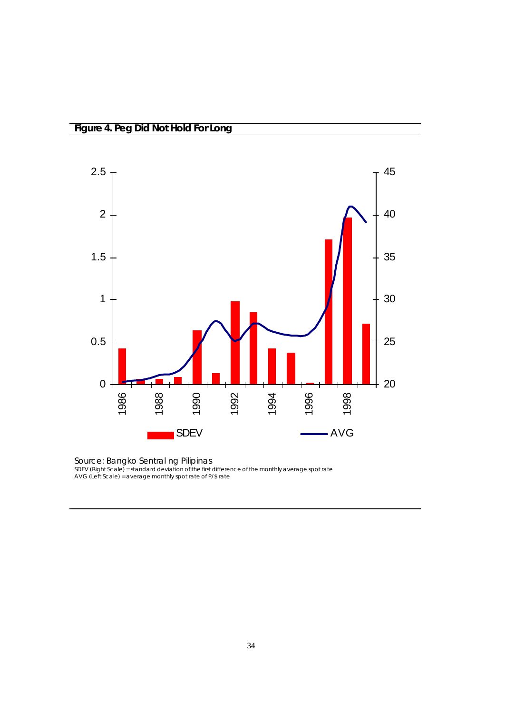

Source: Bangko Sentral ng Pilipinas SDEV (Right Scale) = standard deviation of the first difference of the monthly average spot rate AVG (Left Scale) = average monthly spot rate of P/\$ rate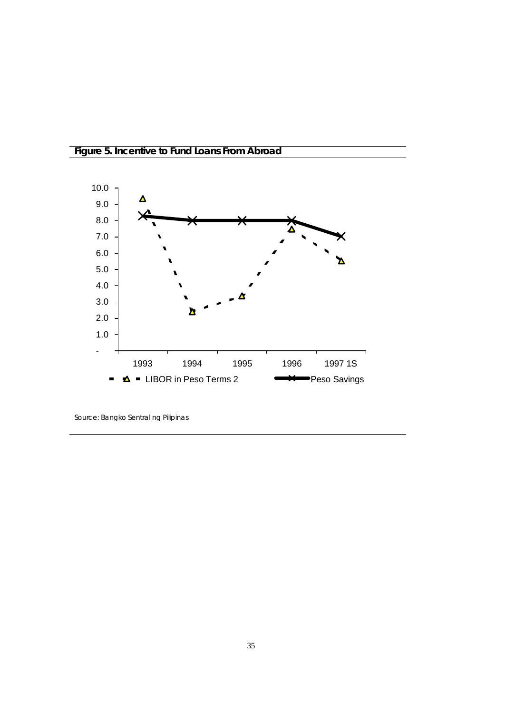

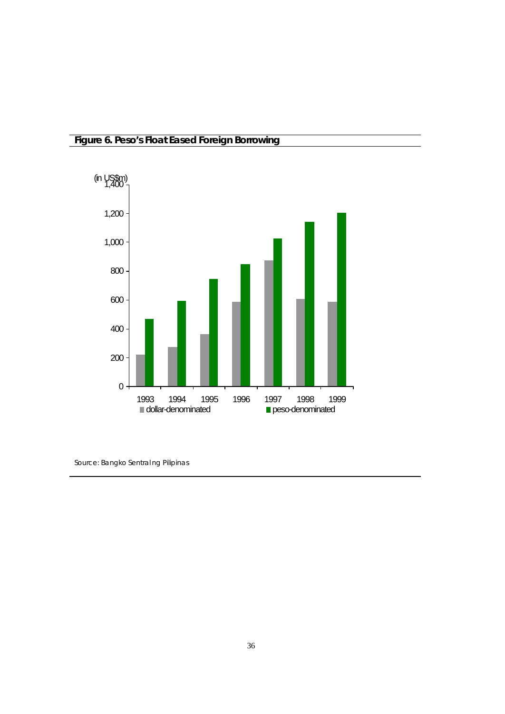## **Figure 6. Peso's Float Eased Foreign Borrowing**

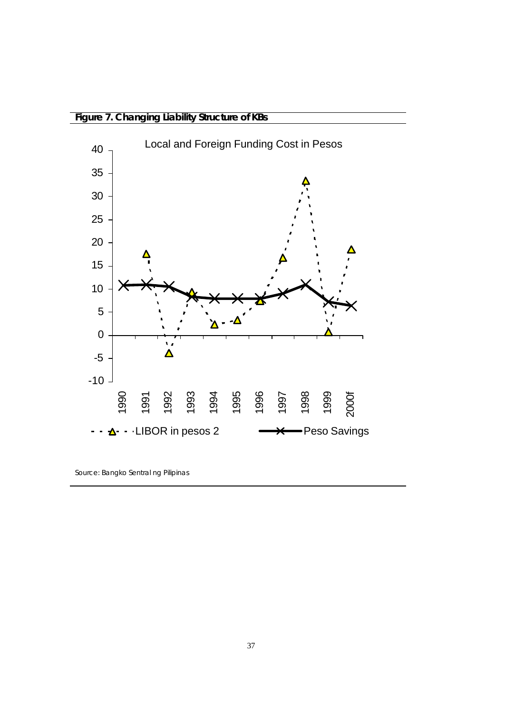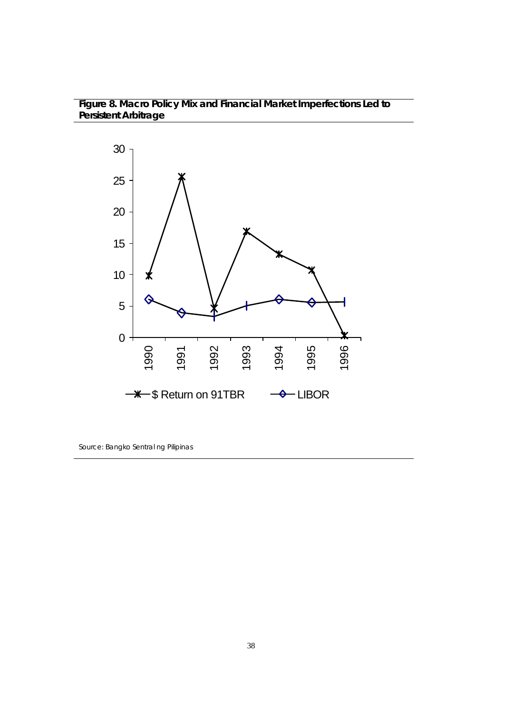## **Figure 8. Macro Policy Mix and Financial Market Imperfections Led to Persistent Arbitrage**